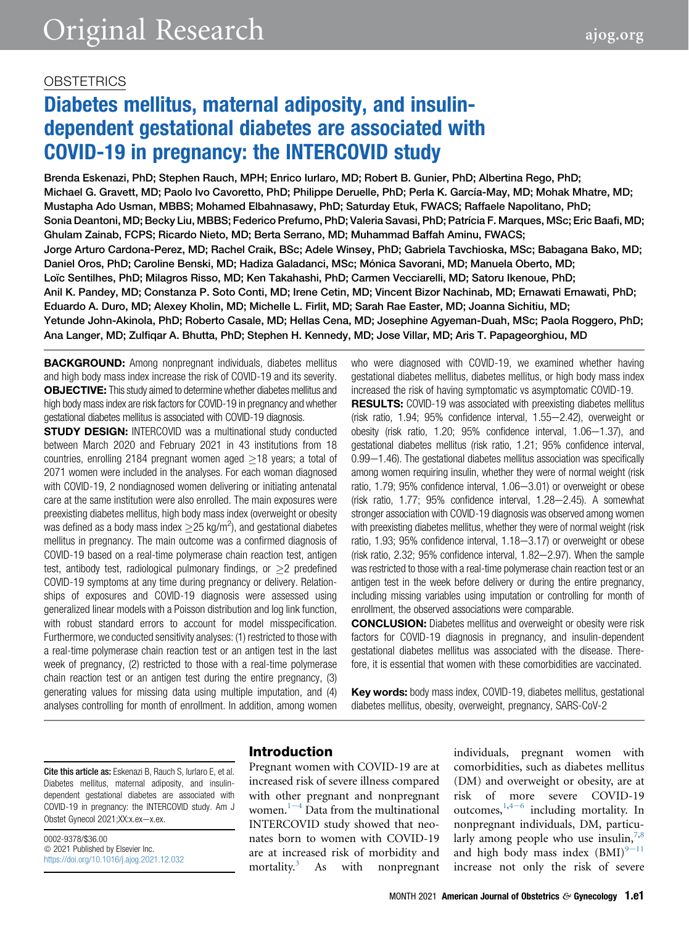# Diabetes mellitus, maternal adiposity, and insulindependent gestational diabetes are associated with COVID-19 in pregnancy: the INTERCOVID study

Brenda Eskenazi, PhD; Stephen Rauch, MPH; Enrico Iurlaro, MD; Robert B. Gunier, PhD; Albertina Rego, PhD; Michael G. Gravett, MD; Paolo Ivo Cavoretto, PhD; Philippe Deruelle, PhD; Perla K. García-May, MD; Mohak Mhatre, MD; Mustapha Ado Usman, MBBS; Mohamed Elbahnasawy, PhD; Saturday Etuk, FWACS; Raffaele Napolitano, PhD; Sonia Deantoni, MD; Becky Liu, MBBS; Federico Prefumo, PhD; Valeria Savasi, PhD; Patrícia F. Marques, MSc; Eric Baafi, MD; Ghulam Zainab, FCPS; Ricardo Nieto, MD; Berta Serrano, MD; Muhammad Baffah Aminu, FWACS; Jorge Arturo Cardona-Perez, MD; Rachel Craik, BSc; Adele Winsey, PhD; Gabriela Tavchioska, MSc; Babagana Bako, MD; Daniel Oros, PhD; Caroline Benski, MD; Hadiza Galadanci, MSc; Mónica Savorani, MD; Manuela Oberto, MD; Loïc Sentilhes, PhD; Milagros Risso, MD; Ken Takahashi, PhD; Carmen Vecciarelli, MD; Satoru Ikenoue, PhD; Anil K. Pandey, MD; Constanza P. Soto Conti, MD; Irene Cetin, MD; Vincent Bizor Nachinab, MD; Ernawati Ernawati, PhD; Eduardo A. Duro, MD; Alexey Kholin, MD; Michelle L. Firlit, MD; Sarah Rae Easter, MD; Joanna Sichitiu, MD; Yetunde John-Akinola, PhD; Roberto Casale, MD; Hellas Cena, MD; Josephine Agyeman-Duah, MSc; Paola Roggero, PhD; Ana Langer, MD; Zulfiqar A. Bhutta, PhD; Stephen H. Kennedy, MD; Jose Villar, MD; Aris T. Papageorghiou, MD

BACKGROUND: Among nonpregnant individuals, diabetes mellitus and high body mass index increase the risk of COVID-19 and its severity. OBJECTIVE: This study aimed to determine whether diabetes mellitus and high body mass index are risk factors for COVID-19 in pregnancy and whether gestational diabetes mellitus is associated with COVID-19 diagnosis.

**STUDY DESIGN:** INTERCOVID was a multinational study conducted between March 2020 and February 2021 in 43 institutions from 18 countries, enrolling 2184 pregnant women aged  $>18$  years; a total of 2071 women were included in the analyses. For each woman diagnosed with COVID-19, 2 nondiagnosed women delivering or initiating antenatal care at the same institution were also enrolled. The main exposures were preexisting diabetes mellitus, high body mass index (overweight or obesity was defined as a body mass index  $\geq$  25 kg/m<sup>2</sup>), and gestational diabetes mellitus in pregnancy. The main outcome was a confirmed diagnosis of COVID-19 based on a real-time polymerase chain reaction test, antigen test, antibody test, radiological pulmonary findings, or  $>2$  predefined COVID-19 symptoms at any time during pregnancy or delivery. Relationships of exposures and COVID-19 diagnosis were assessed using generalized linear models with a Poisson distribution and log link function, with robust standard errors to account for model misspecification. Furthermore, we conducted sensitivity analyses: (1) restricted to those with a real-time polymerase chain reaction test or an antigen test in the last week of pregnancy, (2) restricted to those with a real-time polymerase chain reaction test or an antigen test during the entire pregnancy, (3) generating values for missing data using multiple imputation, and (4) analyses controlling for month of enrollment. In addition, among women

who were diagnosed with COVID-19, we examined whether having gestational diabetes mellitus, diabetes mellitus, or high body mass index increased the risk of having symptomatic vs asymptomatic COVID-19.

**RESULTS:** COVID-19 was associated with preexisting diabetes mellitus (risk ratio, 1.94; 95% confidence interval, 1.55-2.42), overweight or obesity (risk ratio,  $1.20$ ;  $95\%$  confidence interval,  $1.06-1.37$ ), and gestational diabetes mellitus (risk ratio, 1.21; 95% confidence interval,  $0.99-1.46$ ). The gestational diabetes mellitus association was specifically among women requiring insulin, whether they were of normal weight (risk ratio, 1.79; 95% confidence interval, 1.06-3.01) or overweight or obese (risk ratio,  $1.77$ ;  $95\%$  confidence interval,  $1.28-2.45$ ). A somewhat stronger association with COVID-19 diagnosis was observed among women with preexisting diabetes mellitus, whether they were of normal weight (risk ratio,  $1.93$ ;  $95\%$  confidence interval,  $1.18-3.17$ ) or overweight or obese (risk ratio, 2.32; 95% confidence interval,  $1.82-2.97$ ). When the sample was restricted to those with a real-time polymerase chain reaction test or an antigen test in the week before delivery or during the entire pregnancy, including missing variables using imputation or controlling for month of enrollment, the observed associations were comparable.

CONCLUSION: Diabetes mellitus and overweight or obesity were risk factors for COVID-19 diagnosis in pregnancy, and insulin-dependent gestational diabetes mellitus was associated with the disease. Therefore, it is essential that women with these comorbidities are vaccinated.

Key words: body mass index, COVID-19, diabetes mellitus, gestational diabetes mellitus, obesity, overweight, pregnancy, SARS-CoV-2

Cite this article as: Eskenazi B, Rauch S, Iurlaro E, et al. Diabetes mellitus, maternal adiposity, and insulindependent gestational diabetes are associated with COVID-19 in pregnancy: the INTERCOVID study. Am J Obstet Gynecol 2021;XX:x.ex-x.ex.

0002-9378/\$36.00  $©$  2021 Published by Elsevier Inc. <https://doi.org/10.1016/j.ajog.2021.12.032>

## Introduction

Pregnant women with COVID-19 are at increased risk of severe illness compared with other pregnant and nonpregnant wom[e](#page-6-0)n. $1-4$  Data from the multinational INTERCOVID study showed that neonates born to women with COVID-19 are at increased risk of morbidity and mortality.<sup>[3](#page-6-1)</sup> As with nonpregnant

individuals, pregnant women with comorbidities, such as diabetes mellitus (DM) and overweight or obesity, are at risk of more severe COVID-19 outcom[e](#page-6-2)s,  $1,4-6$  $1,4-6$  including mortality. In nonpregnant individuals, DM, particularly among people who use insulin,  $7,8$  $7,8$ and high body mass index  $(BMI)^{9-11}$  $(BMI)^{9-11}$  $(BMI)^{9-11}$ increase not only the risk of severe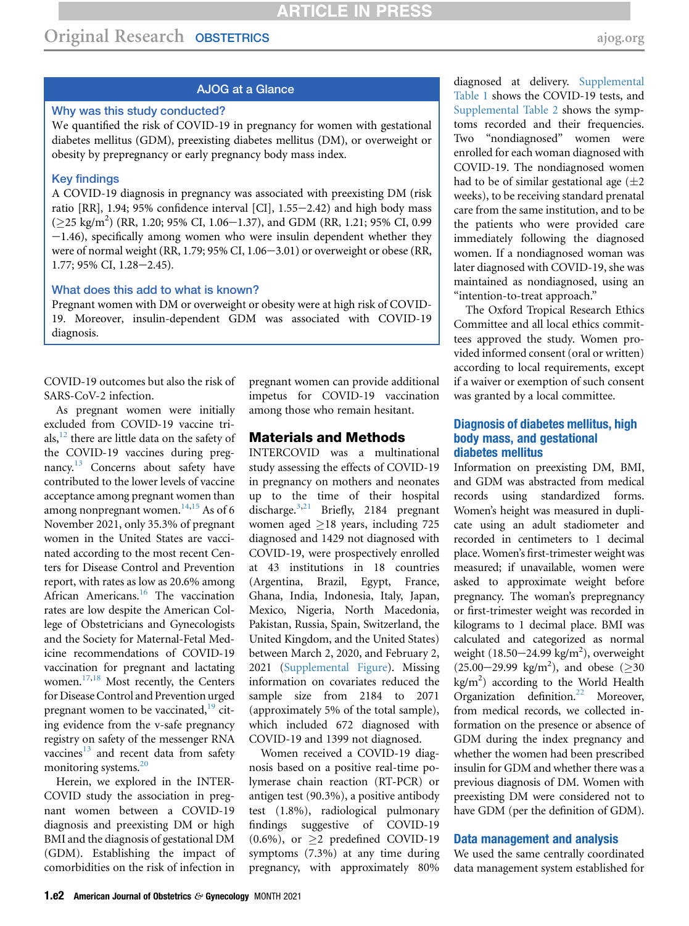## AJOG at a Glance

## Why was this study conducted?

We quantified the risk of COVID-19 in pregnancy for women with gestational diabetes mellitus (GDM), preexisting diabetes mellitus (DM), or overweight or obesity by prepregnancy or early pregnancy body mass index.

### Key findings

A COVID-19 diagnosis in pregnancy was associated with preexisting DM (risk ratio [RR], 1.94; 95% confidence interval [CI],  $1.55-2.42$ ) and high body mass  $(\geq$ 25 kg/m<sup>2</sup>) (RR, 1.20; 95% CI, 1.06–1.37), and GDM (RR, 1.21; 95% CI, 0.99  $-1.46$ ), specifically among women who were insulin dependent whether they were of normal weight (RR, 1.79; 95% CI,  $1.06-3.01$ ) or overweight or obese (RR,  $1.77$ ; 95% CI,  $1.28 - 2.45$ ).

#### What does this add to what is known?

Pregnant women with DM or overweight or obesity were at high risk of COVID-19. Moreover, insulin-dependent GDM was associated with COVID-19 diagnosis.

COVID-19 outcomes but also the risk of SARS-CoV-2 infection.

As pregnant women were initially excluded from COVID-19 vaccine trials,  $^{12}$  there are little data on the safety of the COVID-19 vaccines during pregnancy.<sup>13</sup> Concerns about safety have contributed to the lower levels of vaccine acceptance among pregnant women than among nonpregnant women. $14,15$  $14,15$  As of 6 November 2021, only 35.3% of pregnant women in the United States are vaccinated according to the most recent Centers for Disease Control and Prevention report, with rates as low as 20.6% among African Americans.<sup>[16](#page-6-10)</sup> The vaccination rates are low despite the American College of Obstetricians and Gynecologists and the Society for Maternal-Fetal Medicine recommendations of COVID-19 vaccination for pregnant and lactating women. $17,18$  $17,18$  Most recently, the Centers for Disease Control and Prevention urged pregnant women to be vaccinated, $19$  citing evidence from the v-safe pregnancy registry on safety of the messenger RNA vaccines<sup>13</sup> and recent data from safety monitoring systems[.20](#page-6-14)

Herein, we explored in the INTER-COVID study the association in pregnant women between a COVID-19 diagnosis and preexisting DM or high BMI and the diagnosis of gestational DM (GDM). Establishing the impact of comorbidities on the risk of infection in

pregnant women can provide additional impetus for COVID-19 vaccination among those who remain hesitant.

#### Materials and Methods

INTERCOVID was a multinational study assessing the effects of COVID-19 in pregnancy on mothers and neonates up to the time of their hospital discharge.<sup>[3,](#page-6-1)[21](#page-6-15)</sup> Briefly, 2184 pregnant women aged  $>18$  years, including 725 diagnosed and 1429 not diagnosed with COVID-19, were prospectively enrolled at 43 institutions in 18 countries (Argentina, Brazil, Egypt, France, Ghana, India, Indonesia, Italy, Japan, Mexico, Nigeria, North Macedonia, Pakistan, Russia, Spain, Switzerland, the United Kingdom, and the United States) between March 2, 2020, and February 2, 2021 ([Supplemental Figure\)](#page-10-0). Missing information on covariates reduced the sample size from 2184 to 2071 (approximately 5% of the total sample), which included 672 diagnosed with COVID-19 and 1399 not diagnosed.

Women received a COVID-19 diagnosis based on a positive real-time polymerase chain reaction (RT-PCR) or antigen test (90.3%), a positive antibody test (1.8%), radiological pulmonary findings suggestive of COVID-19  $(0.6\%)$ , or  $>2$  predefined COVID-19 symptoms (7.3%) at any time during pregnancy, with approximately 80%

diagnosed at delivery. [Supplemental](#page-10-1) [Table 1](#page-10-1) shows the COVID-19 tests, and [Supplemental Table 2](#page-11-0) shows the symptoms recorded and their frequencies. Two "nondiagnosed" women were enrolled for each woman diagnosed with COVID-19. The nondiagnosed women had to be of similar gestational age  $(\pm 2)$ weeks), to be receiving standard prenatal care from the same institution, and to be the patients who were provided care immediately following the diagnosed women. If a nondiagnosed woman was later diagnosed with COVID-19, she was maintained as nondiagnosed, using an "intention-to-treat approach."

The Oxford Tropical Research Ethics Committee and all local ethics committees approved the study. Women provided informed consent (oral or written) according to local requirements, except if a waiver or exemption of such consent was granted by a local committee.

### Diagnosis of diabetes mellitus, high body mass, and gestational diabetes mellitus

Information on preexisting DM, BMI, and GDM was abstracted from medical records using standardized forms. Women's height was measured in duplicate using an adult stadiometer and recorded in centimeters to 1 decimal place. Women's first-trimester weight was measured; if unavailable, women were asked to approximate weight before pregnancy. The woman's prepregnancy or first-trimester weight was recorded in kilograms to 1 decimal place. BMI was calculated and categorized as normal weight  $(18.50-24.99 \text{ kg/m}^2)$ , overweight  $(25.00-29.99 \text{ kg/m}^2)$ , and obese ( $\geq 30$  $\text{kg/m}^2$ ) according to the World Health Organization definition.<sup>[22](#page-6-16)</sup> Moreover, from medical records, we collected information on the presence or absence of GDM during the index pregnancy and whether the women had been prescribed insulin for GDM and whether there was a previous diagnosis of DM. Women with preexisting DM were considered not to have GDM (per the definition of GDM).

#### Data management and analysis

We used the same centrally coordinated data management system established for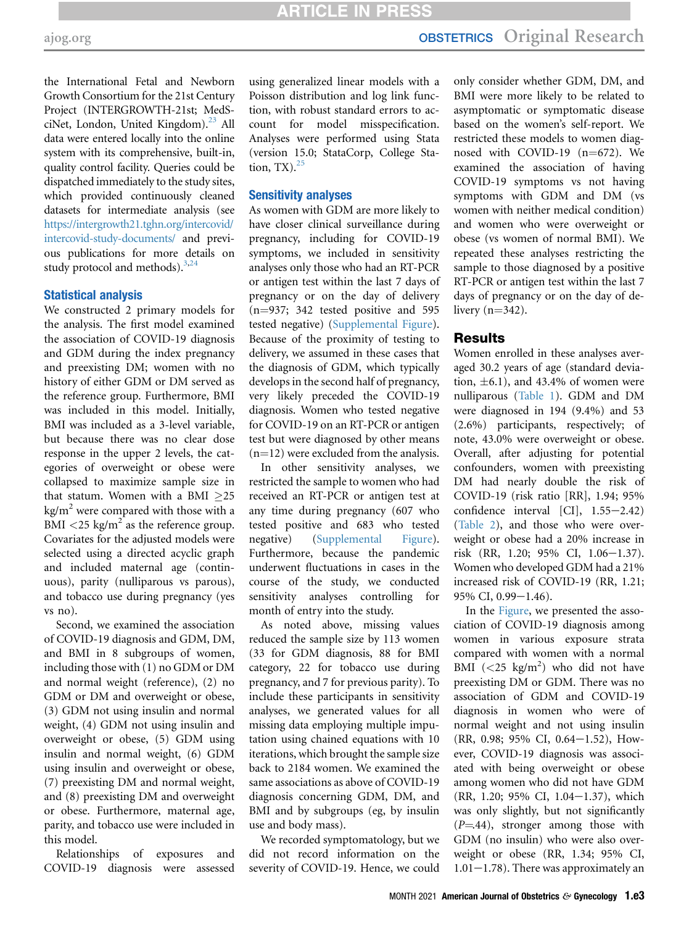the International Fetal and Newborn Growth Consortium for the 21st Century Project (INTERGROWTH-21st; MedSciNet, London, United Kingdom).<sup>23</sup> All data were entered locally into the online system with its comprehensive, built-in, quality control facility. Queries could be dispatched immediately to the study sites, which provided continuously cleaned datasets for intermediate analysis (see [https://intergrowth21.tghn.org/intercovid/](https://intergrowth21.tghn.org/intercovid/intercovid-study-documents/) [intercovid-study-documents/](https://intergrowth21.tghn.org/intercovid/intercovid-study-documents/) and previous publications for more details on study protocol and methods).<sup>3,[24](#page-6-18)</sup>

#### Statistical analysis

We constructed 2 primary models for the analysis. The first model examined the association of COVID-19 diagnosis and GDM during the index pregnancy and preexisting DM; women with no history of either GDM or DM served as the reference group. Furthermore, BMI was included in this model. Initially, BMI was included as a 3-level variable, but because there was no clear dose response in the upper 2 levels, the categories of overweight or obese were collapsed to maximize sample size in that statum. Women with a BMI  $>25$  $kg/m<sup>2</sup>$  were compared with those with a BMI  $\langle 25 \text{ kg/m}^2$  as the reference group. Covariates for the adjusted models were selected using a directed acyclic graph and included maternal age (continuous), parity (nulliparous vs parous), and tobacco use during pregnancy (yes vs no).

Second, we examined the association of COVID-19 diagnosis and GDM, DM, and BMI in 8 subgroups of women, including those with (1) no GDM or DM and normal weight (reference), (2) no GDM or DM and overweight or obese, (3) GDM not using insulin and normal weight, (4) GDM not using insulin and overweight or obese, (5) GDM using insulin and normal weight, (6) GDM using insulin and overweight or obese, (7) preexisting DM and normal weight, and (8) preexisting DM and overweight or obese. Furthermore, maternal age, parity, and tobacco use were included in this model.

Relationships of exposures and COVID-19 diagnosis were assessed using generalized linear models with a Poisson distribution and log link function, with robust standard errors to account for model misspecification. Analyses were performed using Stata (version 15.0; StataCorp, College Station,  $TX$ ).  $^{25}$  $^{25}$  $^{25}$ 

#### Sensitivity analyses

As women with GDM are more likely to have closer clinical surveillance during pregnancy, including for COVID-19 symptoms, we included in sensitivity analyses only those who had an RT-PCR or antigen test within the last 7 days of pregnancy or on the day of delivery  $(n=937; 342$  tested positive and 595 tested negative) [\(Supplemental Figure\)](#page-10-0). Because of the proximity of testing to delivery, we assumed in these cases that the diagnosis of GDM, which typically develops in the second half of pregnancy, very likely preceded the COVID-19 diagnosis. Women who tested negative for COVID-19 on an RT-PCR or antigen test but were diagnosed by other means  $(n=12)$  were excluded from the analysis.

In other sensitivity analyses, we restricted the sample to women who had received an RT-PCR or antigen test at any time during pregnancy (607 who tested positive and 683 who tested negative) ([Supplemental Figure\)](#page-10-0). Furthermore, because the pandemic underwent fluctuations in cases in the course of the study, we conducted sensitivity analyses controlling for month of entry into the study.

As noted above, missing values reduced the sample size by 113 women (33 for GDM diagnosis, 88 for BMI category, 22 for tobacco use during pregnancy, and 7 for previous parity). To include these participants in sensitivity analyses, we generated values for all missing data employing multiple imputation using chained equations with 10 iterations, which brought the sample size back to 2184 women. We examined the same associations as above of COVID-19 diagnosis concerning GDM, DM, and BMI and by subgroups (eg, by insulin use and body mass).

We recorded symptomatology, but we did not record information on the severity of COVID-19. Hence, we could

only consider whether GDM, DM, and BMI were more likely to be related to asymptomatic or symptomatic disease based on the women's self-report. We restricted these models to women diagnosed with COVID-19  $(n=672)$ . We examined the association of having COVID-19 symptoms vs not having symptoms with GDM and DM (vs women with neither medical condition) and women who were overweight or obese (vs women of normal BMI). We repeated these analyses restricting the sample to those diagnosed by a positive RT-PCR or antigen test within the last 7 days of pregnancy or on the day of delivery  $(n=342)$ .

### Results

Women enrolled in these analyses averaged 30.2 years of age (standard deviation,  $\pm 6.1$ ), and 43.4% of women were nulliparous [\(Table 1](#page-3-0)). GDM and DM were diagnosed in 194 (9.4%) and 53 (2.6%) participants, respectively; of note, 43.0% were overweight or obese. Overall, after adjusting for potential confounders, women with preexisting DM had nearly double the risk of COVID-19 (risk ratio [RR], 1.94; 95% confidence interval  $[CI]$ ,  $1.55-2.42$ ) [\(Table 2\)](#page-4-0), and those who were overweight or obese had a 20% increase in risk (RR, 1.20; 95% CI, 1.06-1.37). Women who developed GDM had a 21% increased risk of COVID-19 (RR, 1.21;  $95\%$  CI,  $0.99-1.46$ ).

In the [Figure](#page-5-0), we presented the association of COVID-19 diagnosis among women in various exposure strata compared with women with a normal BMI  $(<25 \text{ kg/m}^2)$  who did not have preexisting DM or GDM. There was no association of GDM and COVID-19 diagnosis in women who were of normal weight and not using insulin  $(RR, 0.98; 95\% \text{ CI}, 0.64-1.52),$  However, COVID-19 diagnosis was associated with being overweight or obese among women who did not have GDM (RR, 1.20; 95% CI, 1.04-1.37), which was only slightly, but not significantly  $(P=44)$ , stronger among those with GDM (no insulin) who were also overweight or obese (RR, 1.34; 95% CI,  $1.01-1.78$ ). There was approximately an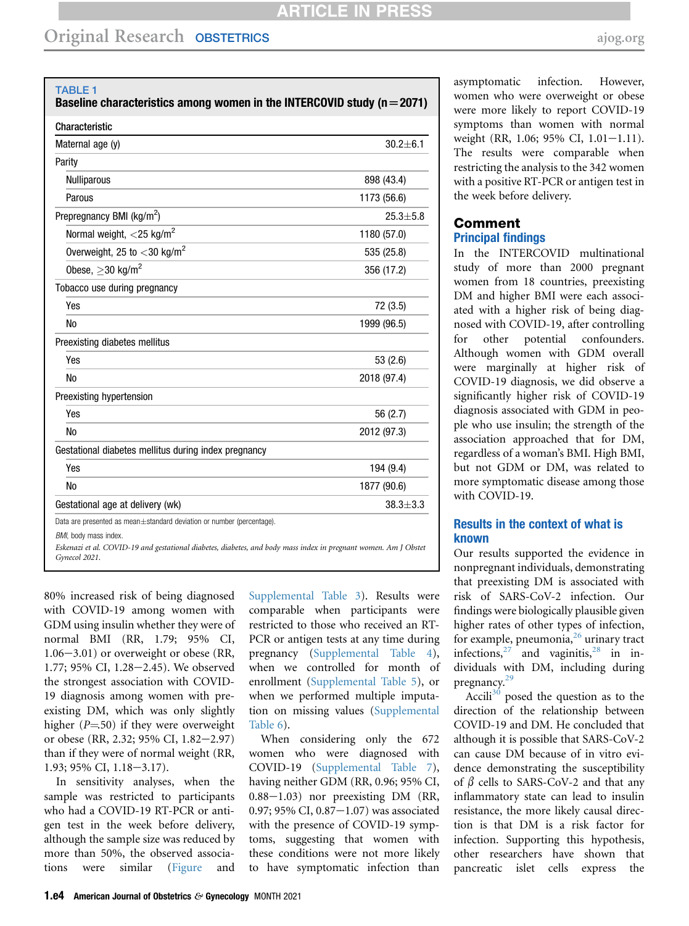<span id="page-3-0"></span>TABLE 1

| Baseline characteristics among women in the INTERCOVID study ( $n = 2071$ ) |                |
|-----------------------------------------------------------------------------|----------------|
| Characteristic                                                              |                |
| Maternal age (y)                                                            | $30.2 \pm 6.1$ |
| Parity                                                                      |                |
| <b>Nulliparous</b>                                                          | 898 (43.4)     |
| Parous                                                                      | 1173 (56.6)    |
| Prepregnancy BMI (kg/m <sup>2</sup> )                                       | $25.3 + 5.8$   |
| Normal weight, $<$ 25 kg/m <sup>2</sup>                                     | 1180 (57.0)    |
| Overweight, 25 to $<$ 30 kg/m <sup>2</sup>                                  | 535 (25.8)     |
| Obese, $>$ 30 kg/m <sup>2</sup>                                             | 356 (17.2)     |
| Tobacco use during pregnancy                                                |                |
| Yes                                                                         | 72 (3.5)       |
| No                                                                          | 1999 (96.5)    |
| Preexisting diabetes mellitus                                               |                |
| Yes                                                                         | 53 (2.6)       |
| No                                                                          | 2018 (97.4)    |
| Preexisting hypertension                                                    |                |
| Yes                                                                         | 56 (2.7)       |
| No                                                                          | 2012 (97.3)    |
| Gestational diabetes mellitus during index pregnancy                        |                |
| Yes                                                                         | 194 (9.4)      |
| No                                                                          | 1877 (90.6)    |
| Gestational age at delivery (wk)                                            | $38.3 + 3.3$   |
| Data are presented as mean±standard deviation or number (percentage).       |                |

BMI, body mass index.

Eskenazi et al. COVID-19 and gestational diabetes, diabetes, and body mass index in pregnant women. Am J Obstet Gynecol 2021.

80% increased risk of being diagnosed with COVID-19 among women with GDM using insulin whether they were of normal BMI (RR, 1.79; 95% CI,  $1.06 - 3.01$ ) or overweight or obese (RR, 1.77; 95% CI, 1.28-2.45). We observed the strongest association with COVID-19 diagnosis among women with preexisting DM, which was only slightly higher  $(P=50)$  if they were overweight or obese (RR, 2.32; 95% CI, 1.82-2.97) than if they were of normal weight (RR,  $1.93$ ;  $95\%$  CI,  $1.18-3.17$ ).

In sensitivity analyses, when the sample was restricted to participants who had a COVID-19 RT-PCR or antigen test in the week before delivery, although the sample size was reduced by more than 50%, the observed associations were similar ([Figure](#page-5-0) and [Supplemental Table 3\)](#page-11-1). Results were comparable when participants were restricted to those who received an RT-PCR or antigen tests at any time during pregnancy [\(Supplemental Table 4\)](#page-12-0), when we controlled for month of enrollment ([Supplemental Table 5\)](#page-13-0), or when we performed multiple imputation on missing values [\(Supplemental](#page-14-0) [Table 6\)](#page-14-0).

When considering only the 672 women who were diagnosed with COVID-19 [\(Supplemental Table 7\)](#page-15-0), having neither GDM (RR, 0.96; 95% CI,  $0.88-1.03$ ) nor preexisting DM (RR, 0.97; 95% CI, 0.87 $-1.07$ ) was associated with the presence of COVID-19 symptoms, suggesting that women with these conditions were not more likely to have symptomatic infection than

asymptomatic infection. However, women who were overweight or obese were more likely to report COVID-19 symptoms than women with normal weight (RR, 1.06; 95% CI,  $1.01-1.11$ ). The results were comparable when restricting the analysis to the 342 women with a positive RT-PCR or antigen test in the week before delivery.

## Comment Principal findings

In the INTERCOVID multinational study of more than 2000 pregnant women from 18 countries, preexisting DM and higher BMI were each associated with a higher risk of being diagnosed with COVID-19, after controlling for other potential confounders. Although women with GDM overall were marginally at higher risk of COVID-19 diagnosis, we did observe a significantly higher risk of COVID-19 diagnosis associated with GDM in people who use insulin; the strength of the association approached that for DM, regardless of a woman's BMI. High BMI, but not GDM or DM, was related to more symptomatic disease among those with COVID-19.

## Results in the context of what is known

Our results supported the evidence in nonpregnant individuals, demonstrating that preexisting DM is associated with risk of SARS-CoV-2 infection. Our findings were biologically plausible given higher rates of other types of infection, for example, pneumonia, $^{26}$  $^{26}$  $^{26}$  urinary tract infections,  $27$  and vaginitis,  $28$  in individuals with DM, including during pregnancy.<sup>[29](#page-6-23)</sup>

Accili<sup>[30](#page-6-24)</sup> posed the question as to the direction of the relationship between COVID-19 and DM. He concluded that although it is possible that SARS-CoV-2 can cause DM because of in vitro evidence demonstrating the susceptibility of  $\beta$  cells to SARS-CoV-2 and that any inflammatory state can lead to insulin resistance, the more likely causal direction is that DM is a risk factor for infection. Supporting this hypothesis, other researchers have shown that pancreatic islet cells express the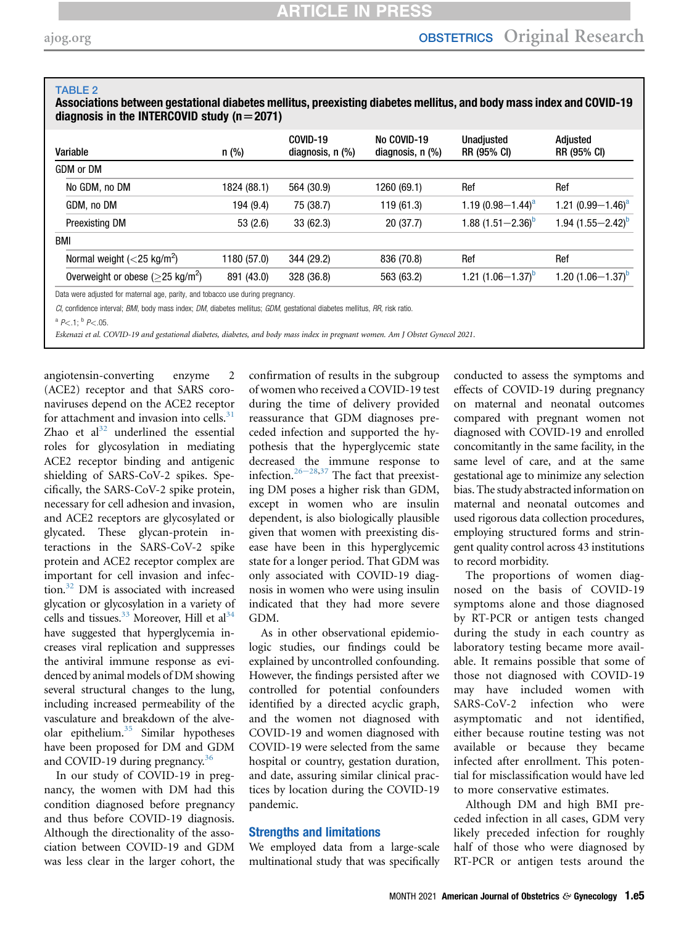#### <span id="page-4-0"></span>TABLE 2

Associations between gestational diabetes mellitus, preexisting diabetes mellitus, and body mass index and COVID-19 diagnosis in the INTERCOVID study ( $n=2071$ )

| Variable                                                           | $n$ (%)     | COVID-19<br>diagnosis, n (%) | No COVID-19<br>diagnosis, $n$ $%$ | Unadjusted<br>RR (95% CI) | Adjusted<br>RR (95% CI)       |
|--------------------------------------------------------------------|-------------|------------------------------|-----------------------------------|---------------------------|-------------------------------|
| GDM or DM                                                          |             |                              |                                   |                           |                               |
| No GDM, no DM                                                      | 1824 (88.1) | 564 (30.9)                   | 1260 (69.1)                       | Ref                       | Ref                           |
| GDM, no DM                                                         | 194 (9.4)   | 75 (38.7)                    | 119 (61.3)                        | 1.19 $(0.98 - 1.44)^a$    | 1.21 $(0.99 - 1.46)^a$        |
| <b>Preexisting DM</b>                                              | 53(2.6)     | 33(62.3)                     | 20(37.7)                          | 1.88 $(1.51 - 2.36)^{D}$  | 1.94 $(1.55 - 2.42)^b$        |
| BMI                                                                |             |                              |                                   |                           |                               |
| Normal weight $\left(<\frac{25 \text{ kg/m}^2}{\text{m}^2}\right)$ | 1180 (57.0) | 344 (29.2)                   | 836 (70.8)                        | Ref                       | Ref                           |
| Overweight or obese ( $\geq$ 25 kg/m <sup>2</sup> )                | 891 (43.0)  | 328 (36.8)                   | 563 (63.2)                        | 1.21 $(1.06 - 1.37)^{D}$  | 1.20 (1.06-1.37) <sup>b</sup> |

CI, confidence interval; BMI, body mass index; DM, diabetes mellitus; GDM, gestational diabetes mellitus, RR, risk ratio.

<span id="page-4-1"></span> $^a$  P <.1;  $^b$  P <.05.

Eskenazi et al. COVID-19 and gestational diabetes, diabetes, and body mass index in pregnant women. Am J Obstet Gynecol 2021.

angiotensin-converting enzyme 2 (ACE2) receptor and that SARS coronaviruses depend on the ACE2 receptor for attachment and invasion into cells. $31$ Zhao et  $al^{32}$  $al^{32}$  $al^{32}$  underlined the essential roles for glycosylation in mediating ACE2 receptor binding and antigenic shielding of SARS-CoV-2 spikes. Specifically, the SARS-CoV-2 spike protein, necessary for cell adhesion and invasion, and ACE2 receptors are glycosylated or glycated. These glycan-protein interactions in the SARS-CoV-2 spike protein and ACE2 receptor complex are important for cell invasion and infec-tion.<sup>[32](#page-6-26)</sup> DM is associated with increased glycation or glycosylation in a variety of cells and tissues.  $33$  Moreover, Hill et al  $34$ have suggested that hyperglycemia increases viral replication and suppresses the antiviral immune response as evidenced by animal models of DM showing several structural changes to the lung, including increased permeability of the vasculature and breakdown of the alveolar epithelium. $35$  Similar hypotheses have been proposed for DM and GDM and COVID-19 during pregnancy.<sup>36</sup>

In our study of COVID-19 in pregnancy, the women with DM had this condition diagnosed before pregnancy and thus before COVID-19 diagnosis. Although the directionality of the association between COVID-19 and GDM was less clear in the larger cohort, the

confirmation of results in the subgroup of women who received a COVID-19 test during the time of delivery provided reassurance that GDM diagnoses preceded infection and supported the hypothesis that the hyperglycemic state decreased the immune response to infection.<sup>26-[28,](#page-6-20)[37](#page-6-31)</sup> The fact that preexisting DM poses a higher risk than GDM, except in women who are insulin dependent, is also biologically plausible given that women with preexisting disease have been in this hyperglycemic state for a longer period. That GDM was only associated with COVID-19 diagnosis in women who were using insulin indicated that they had more severe GDM.

As in other observational epidemiologic studies, our findings could be explained by uncontrolled confounding. However, the findings persisted after we controlled for potential confounders identified by a directed acyclic graph, and the women not diagnosed with COVID-19 and women diagnosed with COVID-19 were selected from the same hospital or country, gestation duration, and date, assuring similar clinical practices by location during the COVID-19 pandemic.

### Strengths and limitations

We employed data from a large-scale multinational study that was specifically

conducted to assess the symptoms and effects of COVID-19 during pregnancy on maternal and neonatal outcomes compared with pregnant women not diagnosed with COVID-19 and enrolled concomitantly in the same facility, in the same level of care, and at the same gestational age to minimize any selection bias. The study abstracted information on maternal and neonatal outcomes and used rigorous data collection procedures, employing structured forms and stringent quality control across 43 institutions to record morbidity.

The proportions of women diagnosed on the basis of COVID-19 symptoms alone and those diagnosed by RT-PCR or antigen tests changed during the study in each country as laboratory testing became more available. It remains possible that some of those not diagnosed with COVID-19 may have included women with SARS-CoV-2 infection who were asymptomatic and not identified, either because routine testing was not available or because they became infected after enrollment. This potential for misclassification would have led to more conservative estimates.

Although DM and high BMI preceded infection in all cases, GDM very likely preceded infection for roughly half of those who were diagnosed by RT-PCR or antigen tests around the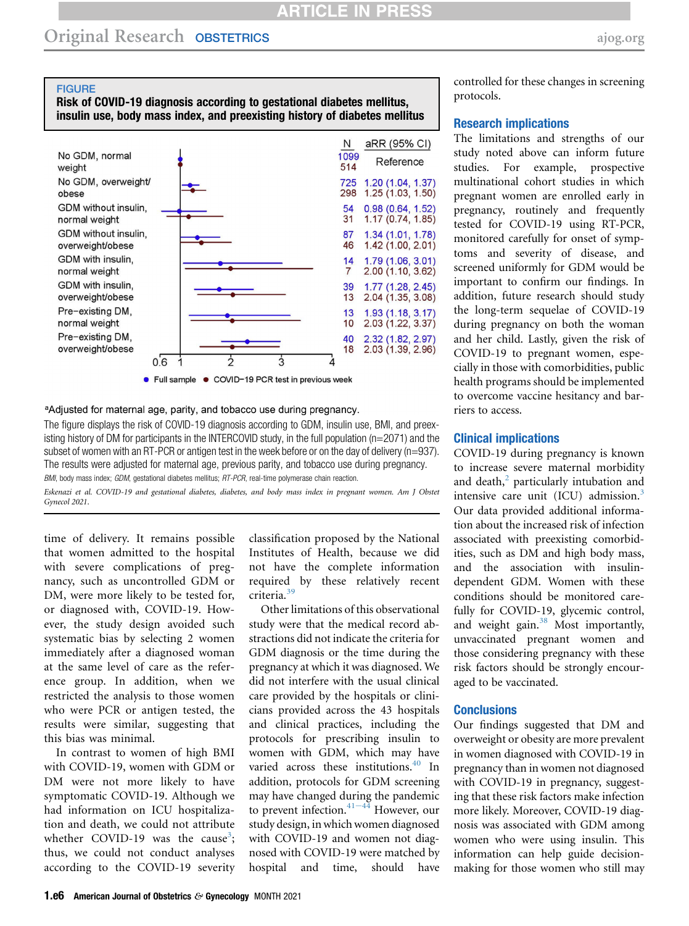## Original Research OBSTETRICS [ajog.org](http://www.AJOG.org)

#### <span id="page-5-0"></span>**FIGURE**

## Risk of COVID-19 diagnosis according to gestational diabetes mellitus, insulin use, body mass index, and preexisting history of diabetes mellitus



#### <sup>a</sup>Adjusted for maternal age, parity, and tobacco use during pregnancy.

The figure displays the risk of COVID-19 diagnosis according to GDM, insulin use, BMI, and preexisting history of DM for participants in the INTERCOVID study, in the full population (n=2071) and the subset of women with an RT-PCR or antigen test in the week before or on the day of delivery (n=937). The results were adjusted for maternal age, previous parity, and tobacco use during pregnancy. BMI, body mass index; GDM, gestational diabetes mellitus; RT-PCR, real-time polymerase chain reaction.

Eskenazi et al. COVID-19 and gestational diabetes, diabetes, and body mass index in pregnant women. Am J Obstet Gynecol 2021.

time of delivery. It remains possible that women admitted to the hospital with severe complications of pregnancy, such as uncontrolled GDM or DM, were more likely to be tested for, or diagnosed with, COVID-19. However, the study design avoided such systematic bias by selecting 2 women immediately after a diagnosed woman at the same level of care as the reference group. In addition, when we restricted the analysis to those women who were PCR or antigen tested, the results were similar, suggesting that this bias was minimal.

In contrast to women of high BMI with COVID-19, women with GDM or DM were not more likely to have symptomatic COVID-19. Although we had information on ICU hospitalization and death, we could not attribute whether COVID-19 was the cause<sup>[3](#page-6-1)</sup>; thus, we could not conduct analyses according to the COVID-19 severity classification proposed by the National Institutes of Health, because we did not have the complete information required by these relatively recent criteria.[39](#page-6-32)

Other limitations of this observational study were that the medical record abstractions did not indicate the criteria for GDM diagnosis or the time during the pregnancy at which it was diagnosed. We did not interfere with the usual clinical care provided by the hospitals or clinicians provided across the 43 hospitals and clinical practices, including the protocols for prescribing insulin to women with GDM, which may have varied across these institutions.<sup>[40](#page-7-0)</sup> In addition, protocols for GDM screening may have changed d[uring](#page-7-1) the pandemic to prevent infection.<sup>41-44</sup> However, our study design, in which women diagnosed with COVID-19 and women not diagnosed with COVID-19 were matched by hospital and time, should have

controlled for these changes in screening protocols.

#### Research implications

The limitations and strengths of our study noted above can inform future studies. For example, prospective multinational cohort studies in which pregnant women are enrolled early in pregnancy, routinely and frequently tested for COVID-19 using RT-PCR, monitored carefully for onset of symptoms and severity of disease, and screened uniformly for GDM would be important to confirm our findings. In addition, future research should study the long-term sequelae of COVID-19 during pregnancy on both the woman and her child. Lastly, given the risk of COVID-19 to pregnant women, especially in those with comorbidities, public health programs should be implemented to overcome vaccine hesitancy and barriers to access.

#### Clinical implications

COVID-19 during pregnancy is known to increase severe maternal morbidity and death, $^2$  $^2$  particularly intubation and intensive care unit (ICU) admission.<sup>[3](#page-6-1)</sup> Our data provided additional information about the increased risk of infection associated with preexisting comorbidities, such as DM and high body mass, and the association with insulindependent GDM. Women with these conditions should be monitored carefully for COVID-19, glycemic control, and weight gain.<sup>[38](#page-6-34)</sup> Most importantly, unvaccinated pregnant women and those considering pregnancy with these risk factors should be strongly encouraged to be vaccinated.

#### **Conclusions**

Our findings suggested that DM and overweight or obesity are more prevalent in women diagnosed with COVID-19 in pregnancy than in women not diagnosed with COVID-19 in pregnancy, suggesting that these risk factors make infection more likely. Moreover, COVID-19 diagnosis was associated with GDM among women who were using insulin. This information can help guide decisionmaking for those women who still may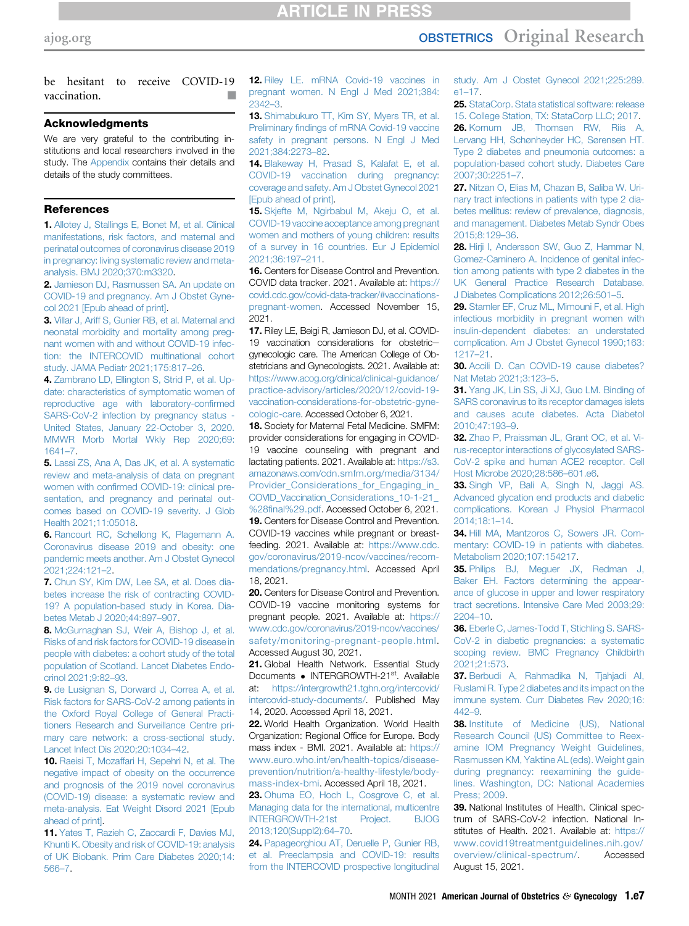## [ajog.org](http://www.AJOG.org) **OBSTETRICS** Original Research

be hesitant to receive COVID-19 vaccination.

#### Acknowledgments

We are very grateful to the contributing institutions and local researchers involved in the study. The [Appendix](#page-8-0) contains their details and details of the study committees.

#### <span id="page-6-0"></span>**References**

1. [Allotey J, Stallings E, Bonet M, et al. Clinical](http://refhub.elsevier.com/S0002-9378(21)02696-X/sref1) [manifestations, risk factors, and maternal and](http://refhub.elsevier.com/S0002-9378(21)02696-X/sref1) [perinatal outcomes of coronavirus disease 2019](http://refhub.elsevier.com/S0002-9378(21)02696-X/sref1) [in pregnancy: living systematic review and meta](http://refhub.elsevier.com/S0002-9378(21)02696-X/sref1)[analysis. BMJ 2020;370:m3320.](http://refhub.elsevier.com/S0002-9378(21)02696-X/sref1)

<span id="page-6-33"></span><span id="page-6-1"></span>2. Jamieson DJ. Rasmussen SA, An update on [COVID-19 and pregnancy. Am J Obstet Gyne](http://refhub.elsevier.com/S0002-9378(21)02696-X/sref2)[col 2021 \[Epub ahead of print\]](http://refhub.elsevier.com/S0002-9378(21)02696-X/sref2).

3. [Villar J, Ariff S, Gunier RB, et al. Maternal and](http://refhub.elsevier.com/S0002-9378(21)02696-X/sref3) [neonatal morbidity and mortality among preg](http://refhub.elsevier.com/S0002-9378(21)02696-X/sref3)[nant women with and without COVID-19 infec](http://refhub.elsevier.com/S0002-9378(21)02696-X/sref3)[tion: the INTERCOVID multinational cohort](http://refhub.elsevier.com/S0002-9378(21)02696-X/sref3) [study. JAMA Pediatr 2021;175:817](http://refhub.elsevier.com/S0002-9378(21)02696-X/sref3)–26.

<span id="page-6-2"></span>4. [Zambrano LD, Ellington S, Strid P, et al. Up](http://refhub.elsevier.com/S0002-9378(21)02696-X/sref4)[date: characteristics of symptomatic women of](http://refhub.elsevier.com/S0002-9378(21)02696-X/sref4) [reproductive age with laboratory-con](http://refhub.elsevier.com/S0002-9378(21)02696-X/sref4)firmed [SARS-CoV-2 infection by pregnancy status -](http://refhub.elsevier.com/S0002-9378(21)02696-X/sref4) [United States, January 22-October 3, 2020.](http://refhub.elsevier.com/S0002-9378(21)02696-X/sref4) [MMWR Morb Mortal Wkly Rep 2020;69:](http://refhub.elsevier.com/S0002-9378(21)02696-X/sref4) [1641](http://refhub.elsevier.com/S0002-9378(21)02696-X/sref4)–7.

5. [Lassi ZS, Ana A, Das JK, et al. A systematic](http://refhub.elsevier.com/S0002-9378(21)02696-X/sref5) [review and meta-analysis of data on pregnant](http://refhub.elsevier.com/S0002-9378(21)02696-X/sref5) women with confi[rmed COVID-19: clinical pre](http://refhub.elsevier.com/S0002-9378(21)02696-X/sref5)[sentation, and pregnancy and perinatal out](http://refhub.elsevier.com/S0002-9378(21)02696-X/sref5)[comes based on COVID-19 severity. J Glob](http://refhub.elsevier.com/S0002-9378(21)02696-X/sref5) [Health 2021;11:05018](http://refhub.elsevier.com/S0002-9378(21)02696-X/sref5).

6. [Rancourt RC, Schellong K, Plagemann A.](http://refhub.elsevier.com/S0002-9378(21)02696-X/sref6) [Coronavirus disease 2019 and obesity: one](http://refhub.elsevier.com/S0002-9378(21)02696-X/sref6) [pandemic meets another. Am J Obstet Gynecol](http://refhub.elsevier.com/S0002-9378(21)02696-X/sref6) [2021;224:121](http://refhub.elsevier.com/S0002-9378(21)02696-X/sref6)–2.

<span id="page-6-3"></span>7. [Chun SY, Kim DW, Lee SA, et al. Does dia](http://refhub.elsevier.com/S0002-9378(21)02696-X/sref7)[betes increase the risk of contracting COVID-](http://refhub.elsevier.com/S0002-9378(21)02696-X/sref7)[19? A population-based study in Korea. Dia](http://refhub.elsevier.com/S0002-9378(21)02696-X/sref7)[betes Metab J 2020;44:897](http://refhub.elsevier.com/S0002-9378(21)02696-X/sref7)–907.

<span id="page-6-4"></span>8. [McGurnaghan SJ, Weir A, Bishop J, et al.](http://refhub.elsevier.com/S0002-9378(21)02696-X/sref8) [Risks of and risk factors for COVID-19 disease in](http://refhub.elsevier.com/S0002-9378(21)02696-X/sref8) [people with diabetes: a cohort study of the total](http://refhub.elsevier.com/S0002-9378(21)02696-X/sref8) [population of Scotland. Lancet Diabetes Endo](http://refhub.elsevier.com/S0002-9378(21)02696-X/sref8)[crinol 2021;9:82](http://refhub.elsevier.com/S0002-9378(21)02696-X/sref8)–93.

<span id="page-6-5"></span>9. [de Lusignan S, Dorward J, Correa A, et al.](http://refhub.elsevier.com/S0002-9378(21)02696-X/sref9) [Risk factors for SARS-CoV-2 among patients in](http://refhub.elsevier.com/S0002-9378(21)02696-X/sref9) [the Oxford Royal College of General Practi](http://refhub.elsevier.com/S0002-9378(21)02696-X/sref9)[tioners Research and Surveillance Centre pri](http://refhub.elsevier.com/S0002-9378(21)02696-X/sref9)[mary care network: a cross-sectional study.](http://refhub.elsevier.com/S0002-9378(21)02696-X/sref9) [Lancet Infect Dis 2020;20:1034](http://refhub.elsevier.com/S0002-9378(21)02696-X/sref9)–42.

10. [Raeisi T, Mozaffari H, Sepehri N, et al. The](http://refhub.elsevier.com/S0002-9378(21)02696-X/sref10) [negative impact of obesity on the occurrence](http://refhub.elsevier.com/S0002-9378(21)02696-X/sref10) [and prognosis of the 2019 novel coronavirus](http://refhub.elsevier.com/S0002-9378(21)02696-X/sref10) [\(COVID-19\) disease: a systematic review and](http://refhub.elsevier.com/S0002-9378(21)02696-X/sref10) [meta-analysis. Eat Weight Disord 2021 \[Epub](http://refhub.elsevier.com/S0002-9378(21)02696-X/sref10) [ahead of print\]](http://refhub.elsevier.com/S0002-9378(21)02696-X/sref10).

11. [Yates T, Razieh C, Zaccardi F, Davies MJ,](http://refhub.elsevier.com/S0002-9378(21)02696-X/sref11) [Khunti K. Obesity and risk of COVID-19: analysis](http://refhub.elsevier.com/S0002-9378(21)02696-X/sref11) [of UK Biobank. Prim Care Diabetes 2020;14:](http://refhub.elsevier.com/S0002-9378(21)02696-X/sref11) [566](http://refhub.elsevier.com/S0002-9378(21)02696-X/sref11)–7.

<span id="page-6-6"></span>12. [Riley LE. mRNA Covid-19 vaccines in](http://refhub.elsevier.com/S0002-9378(21)02696-X/sref12) [pregnant women. N Engl J Med 2021;384:](http://refhub.elsevier.com/S0002-9378(21)02696-X/sref12) [2342](http://refhub.elsevier.com/S0002-9378(21)02696-X/sref12)–3.

<span id="page-6-7"></span>13. [Shimabukuro TT, Kim SY, Myers TR, et al.](http://refhub.elsevier.com/S0002-9378(21)02696-X/sref13) Preliminary fi[ndings of mRNA Covid-19 vaccine](http://refhub.elsevier.com/S0002-9378(21)02696-X/sref13) [safety in pregnant persons. N Engl J Med](http://refhub.elsevier.com/S0002-9378(21)02696-X/sref13) [2021;384:2273](http://refhub.elsevier.com/S0002-9378(21)02696-X/sref13)–82.

<span id="page-6-8"></span>14. [Blakeway H, Prasad S, Kalafat E, et al.](http://refhub.elsevier.com/S0002-9378(21)02696-X/sref14) [COVID-19 vaccination during pregnancy:](http://refhub.elsevier.com/S0002-9378(21)02696-X/sref14) [coverage and safety. Am J Obstet Gynecol 2021](http://refhub.elsevier.com/S0002-9378(21)02696-X/sref14) [\[Epub ahead of print\].](http://refhub.elsevier.com/S0002-9378(21)02696-X/sref14)

<span id="page-6-9"></span>15. [Skjefte M, Ngirbabul M, Akeju O, et al.](http://refhub.elsevier.com/S0002-9378(21)02696-X/sref15) [COVID-19 vaccine acceptance among pregnant](http://refhub.elsevier.com/S0002-9378(21)02696-X/sref15) [women and mothers of young children: results](http://refhub.elsevier.com/S0002-9378(21)02696-X/sref15) [of a survey in 16 countries. Eur J Epidemiol](http://refhub.elsevier.com/S0002-9378(21)02696-X/sref15) [2021;36:197](http://refhub.elsevier.com/S0002-9378(21)02696-X/sref15)–211.

<span id="page-6-10"></span>16. Centers for Disease Control and Prevention. COVID data tracker. 2021. Available at: [https://](https://covid.cdc.gov/covid-data-tracker/#vaccinations-pregnant-women) [covid.cdc.gov/covid-data-tracker/#vaccinations](https://covid.cdc.gov/covid-data-tracker/#vaccinations-pregnant-women)[pregnant-women](https://covid.cdc.gov/covid-data-tracker/#vaccinations-pregnant-women). Accessed November 15, 2021.

<span id="page-6-11"></span>17. Riley LE, Beigi R, Jamieson DJ, et al. COVID-19 vaccination considerations for obstetricgynecologic care. The American College of Obstetricians and Gynecologists. 2021. Available at: [https://www.acog.org/clinical/clinical-guidance/](https://www.acog.org/clinical/clinical-guidance/practice-advisory/articles/2020/12/covid-19-vaccination-considerations-for-obstetric-gynecologic-care) [practice-advisory/articles/2020/12/covid-19](https://www.acog.org/clinical/clinical-guidance/practice-advisory/articles/2020/12/covid-19-vaccination-considerations-for-obstetric-gynecologic-care) [vaccination-considerations-for-obstetric-gyne](https://www.acog.org/clinical/clinical-guidance/practice-advisory/articles/2020/12/covid-19-vaccination-considerations-for-obstetric-gynecologic-care)[cologic-care](https://www.acog.org/clinical/clinical-guidance/practice-advisory/articles/2020/12/covid-19-vaccination-considerations-for-obstetric-gynecologic-care). Accessed October 6, 2021.

<span id="page-6-12"></span>18. Society for Maternal Fetal Medicine. SMFM: provider considerations for engaging in COVID-19 vaccine counseling with pregnant and lactating patients. 2021. Available at: [https://s3.](https://s3.amazonaws.com/cdn.smfm.org/media/3134/Provider_Considerations_for_Engaging_in_COVID_Vaccination_Considerations_10-1-21_%28final%29.pdf) [amazonaws.com/cdn.smfm.org/media/3134/](https://s3.amazonaws.com/cdn.smfm.org/media/3134/Provider_Considerations_for_Engaging_in_COVID_Vaccination_Considerations_10-1-21_%28final%29.pdf) [Provider\\_Considerations\\_for\\_Engaging\\_in\\_](https://s3.amazonaws.com/cdn.smfm.org/media/3134/Provider_Considerations_for_Engaging_in_COVID_Vaccination_Considerations_10-1-21_%28final%29.pdf) [COVID\\_Vaccination\\_Considerations\\_10-1-21\\_](https://s3.amazonaws.com/cdn.smfm.org/media/3134/Provider_Considerations_for_Engaging_in_COVID_Vaccination_Considerations_10-1-21_%28final%29.pdf) %28fi[nal%29.pdf.](https://s3.amazonaws.com/cdn.smfm.org/media/3134/Provider_Considerations_for_Engaging_in_COVID_Vaccination_Considerations_10-1-21_%28final%29.pdf) Accessed October 6, 2021. **19.** Centers for Disease Control and Prevention. COVID-19 vaccines while pregnant or breastfeeding. 2021. Available at: [https://www.cdc.](https://www.cdc.gov/coronavirus/2019-ncov/vaccines/recommendations/pregnancy.html) [gov/coronavirus/2019-ncov/vaccines/recom](https://www.cdc.gov/coronavirus/2019-ncov/vaccines/recommendations/pregnancy.html)[mendations/pregnancy.html](https://www.cdc.gov/coronavirus/2019-ncov/vaccines/recommendations/pregnancy.html). Accessed April

<span id="page-6-14"></span><span id="page-6-13"></span>18, 2021. 20. Centers for Disease Control and Prevention. COVID-19 vaccine monitoring systems for pregnant people. 2021. Available at: [https://](https://www.cdc.gov/coronavirus/2019-ncov/vaccines/safety/monitoring-pregnant-people.html) [www.cdc.gov/coronavirus/2019-ncov/vaccines/](https://www.cdc.gov/coronavirus/2019-ncov/vaccines/safety/monitoring-pregnant-people.html) [safety/monitoring-pregnant-people.html](https://www.cdc.gov/coronavirus/2019-ncov/vaccines/safety/monitoring-pregnant-people.html). Accessed August 30, 2021.

<span id="page-6-15"></span>21. Global Health Network. Essential Study Documents • INTERGROWTH-21<sup>st</sup>. Available at: https://intergrowth21.tghn.org/intercovid/ [https://intergrowth21.tghn.org/intercovid/](https://intergrowth21.tghn.org/intercovid/intercovid-study-documents/) [intercovid-study-documents/.](https://intergrowth21.tghn.org/intercovid/intercovid-study-documents/) Published May 14, 2020. Accessed April 18, 2021.

<span id="page-6-16"></span>22. World Health Organization. World Health Organization: Regional Office for Europe. Body mass index - BMI. 2021. Available at: [https://](https://www.euro.who.int/en/health-topics/disease-prevention/nutrition/a-healthy-lifestyle/body-mass-index-bmi) [www.euro.who.int/en/health-topics/disease](https://www.euro.who.int/en/health-topics/disease-prevention/nutrition/a-healthy-lifestyle/body-mass-index-bmi)[prevention/nutrition/a-healthy-lifestyle/body](https://www.euro.who.int/en/health-topics/disease-prevention/nutrition/a-healthy-lifestyle/body-mass-index-bmi)[mass-index-bmi](https://www.euro.who.int/en/health-topics/disease-prevention/nutrition/a-healthy-lifestyle/body-mass-index-bmi). Accessed April 18, 2021.

<span id="page-6-17"></span>23. [Ohuma EO, Hoch L, Cosgrove C, et al.](http://refhub.elsevier.com/S0002-9378(21)02696-X/sref23) [Managing data for the international, multicentre](http://refhub.elsevier.com/S0002-9378(21)02696-X/sref23) [INTERGROWTH-21st Project. BJOG](http://refhub.elsevier.com/S0002-9378(21)02696-X/sref23) [2013;120\(Suppl2\):64](http://refhub.elsevier.com/S0002-9378(21)02696-X/sref23)–70.

<span id="page-6-18"></span>24. [Papageorghiou AT, Deruelle P, Gunier RB,](http://refhub.elsevier.com/S0002-9378(21)02696-X/sref24) [et al. Preeclampsia and COVID-19: results](http://refhub.elsevier.com/S0002-9378(21)02696-X/sref24) [from the INTERCOVID prospective longitudinal](http://refhub.elsevier.com/S0002-9378(21)02696-X/sref24) [study. Am J Obstet Gynecol 2021;225:289.](http://refhub.elsevier.com/S0002-9378(21)02696-X/sref24) e1–[17.](http://refhub.elsevier.com/S0002-9378(21)02696-X/sref24)

<span id="page-6-20"></span><span id="page-6-19"></span>25. [StataCorp. Stata statistical software: release](http://refhub.elsevier.com/S0002-9378(21)02696-X/sref25) [15. College Station, TX: StataCorp LLC; 2017.](http://refhub.elsevier.com/S0002-9378(21)02696-X/sref25) 26. [Kornum JB, Thomsen RW, Riis A,](http://refhub.elsevier.com/S0002-9378(21)02696-X/sref26) [Lervang HH, Schønheyder HC, Sørensen HT.](http://refhub.elsevier.com/S0002-9378(21)02696-X/sref26) [Type 2 diabetes and pneumonia outcomes: a](http://refhub.elsevier.com/S0002-9378(21)02696-X/sref26) [population-based cohort study. Diabetes Care](http://refhub.elsevier.com/S0002-9378(21)02696-X/sref26) [2007;30:2251](http://refhub.elsevier.com/S0002-9378(21)02696-X/sref26)–7.

<span id="page-6-21"></span>27. [Nitzan O, Elias M, Chazan B, Saliba W. Uri](http://refhub.elsevier.com/S0002-9378(21)02696-X/sref27)[nary tract infections in patients with type 2 dia](http://refhub.elsevier.com/S0002-9378(21)02696-X/sref27)[betes mellitus: review of prevalence, diagnosis,](http://refhub.elsevier.com/S0002-9378(21)02696-X/sref27) [and management. Diabetes Metab Syndr Obes](http://refhub.elsevier.com/S0002-9378(21)02696-X/sref27) [2015;8:129](http://refhub.elsevier.com/S0002-9378(21)02696-X/sref27)–36.

<span id="page-6-22"></span>28. [Hirji I, Andersson SW, Guo Z, Hammar N,](http://refhub.elsevier.com/S0002-9378(21)02696-X/sref28) [Gomez-Caminero A. Incidence of genital infec](http://refhub.elsevier.com/S0002-9378(21)02696-X/sref28)[tion among patients with type 2 diabetes in the](http://refhub.elsevier.com/S0002-9378(21)02696-X/sref28) [UK General Practice Research Database.](http://refhub.elsevier.com/S0002-9378(21)02696-X/sref28) [J Diabetes Complications 2012;26:501](http://refhub.elsevier.com/S0002-9378(21)02696-X/sref28)–5.

<span id="page-6-23"></span>29. [Stamler EF, Cruz ML, Mimouni F, et al. High](http://refhub.elsevier.com/S0002-9378(21)02696-X/sref29) [infectious morbidity in pregnant women with](http://refhub.elsevier.com/S0002-9378(21)02696-X/sref29) [insulin-dependent diabetes: an understated](http://refhub.elsevier.com/S0002-9378(21)02696-X/sref29) [complication. Am J Obstet Gynecol 1990;163:](http://refhub.elsevier.com/S0002-9378(21)02696-X/sref29) [1217](http://refhub.elsevier.com/S0002-9378(21)02696-X/sref29)–21.

<span id="page-6-24"></span>30. [Accili D. Can COVID-19 cause diabetes?](http://refhub.elsevier.com/S0002-9378(21)02696-X/sref30) [Nat Metab 2021;3:123](http://refhub.elsevier.com/S0002-9378(21)02696-X/sref30)–5.

<span id="page-6-25"></span>31. [Yang JK, Lin SS, Ji XJ, Guo LM. Binding of](http://refhub.elsevier.com/S0002-9378(21)02696-X/sref31) [SARS coronavirus to its receptor damages islets](http://refhub.elsevier.com/S0002-9378(21)02696-X/sref31) [and causes acute diabetes. Acta Diabetol](http://refhub.elsevier.com/S0002-9378(21)02696-X/sref31) [2010;47:193](http://refhub.elsevier.com/S0002-9378(21)02696-X/sref31)–9.

<span id="page-6-26"></span>32. [Zhao P, Praissman JL, Grant OC, et al. Vi](http://refhub.elsevier.com/S0002-9378(21)02696-X/sref32)[rus-receptor interactions of glycosylated SARS-](http://refhub.elsevier.com/S0002-9378(21)02696-X/sref32)[CoV-2 spike and human ACE2 receptor. Cell](http://refhub.elsevier.com/S0002-9378(21)02696-X/sref32) [Host Microbe 2020;28:586](http://refhub.elsevier.com/S0002-9378(21)02696-X/sref32)–601.e6.

<span id="page-6-27"></span>33. [Singh VP, Bali A, Singh N, Jaggi AS.](http://refhub.elsevier.com/S0002-9378(21)02696-X/sref33) [Advanced glycation end products and diabetic](http://refhub.elsevier.com/S0002-9378(21)02696-X/sref33) [complications. Korean J Physiol Pharmacol](http://refhub.elsevier.com/S0002-9378(21)02696-X/sref33) [2014;18:1](http://refhub.elsevier.com/S0002-9378(21)02696-X/sref33)–14.

<span id="page-6-28"></span>34. [Hill MA, Mantzoros C, Sowers JR. Com](http://refhub.elsevier.com/S0002-9378(21)02696-X/sref34)[mentary: COVID-19 in patients with diabetes.](http://refhub.elsevier.com/S0002-9378(21)02696-X/sref34) [Metabolism 2020;107:154217](http://refhub.elsevier.com/S0002-9378(21)02696-X/sref34).

<span id="page-6-29"></span>35. [Philips BJ, Meguer JX, Redman J,](http://refhub.elsevier.com/S0002-9378(21)02696-X/sref35) [Baker EH. Factors determining the appear](http://refhub.elsevier.com/S0002-9378(21)02696-X/sref35)[ance of glucose in upper and lower respiratory](http://refhub.elsevier.com/S0002-9378(21)02696-X/sref35) [tract secretions. Intensive Care Med 2003;29:](http://refhub.elsevier.com/S0002-9378(21)02696-X/sref35) [2204](http://refhub.elsevier.com/S0002-9378(21)02696-X/sref35)–10.

<span id="page-6-30"></span>36. [Eberle C, James-Todd T, Stichling S. SARS-](http://refhub.elsevier.com/S0002-9378(21)02696-X/sref36)[CoV-2 in diabetic pregnancies: a systematic](http://refhub.elsevier.com/S0002-9378(21)02696-X/sref36) [scoping review. BMC Pregnancy Childbirth](http://refhub.elsevier.com/S0002-9378(21)02696-X/sref36) [2021;21:573](http://refhub.elsevier.com/S0002-9378(21)02696-X/sref36).

<span id="page-6-31"></span>37. [Berbudi A, Rahmadika N, Tjahjadi AI,](http://refhub.elsevier.com/S0002-9378(21)02696-X/sref37) [Ruslami R. Type 2 diabetes and its impact on the](http://refhub.elsevier.com/S0002-9378(21)02696-X/sref37) [immune system. Curr Diabetes Rev 2020;16:](http://refhub.elsevier.com/S0002-9378(21)02696-X/sref37)  $A$  $A$  $2$  $\overline{a}$ 

<span id="page-6-34"></span>38. [Institute of Medicine \(US\), National](http://refhub.elsevier.com/S0002-9378(21)02696-X/sref38) [Research Council \(US\) Committee to Reex](http://refhub.elsevier.com/S0002-9378(21)02696-X/sref38)[amine IOM Pregnancy Weight Guidelines,](http://refhub.elsevier.com/S0002-9378(21)02696-X/sref38) [Rasmussen KM, Yaktine AL \(eds\). Weight gain](http://refhub.elsevier.com/S0002-9378(21)02696-X/sref38) [during pregnancy: reexamining the guide](http://refhub.elsevier.com/S0002-9378(21)02696-X/sref38)[lines. Washington, DC: National Academies](http://refhub.elsevier.com/S0002-9378(21)02696-X/sref38) [Press; 2009.](http://refhub.elsevier.com/S0002-9378(21)02696-X/sref38)

<span id="page-6-32"></span>39. National Institutes of Health. Clinical spectrum of SARS-CoV-2 infection. National Institutes of Health. 2021. Available at: [https://](https://www.covid19treatmentguidelines.nih.gov/overview/clinical-spectrum/) [www.covid19treatmentguidelines.nih.gov/](https://www.covid19treatmentguidelines.nih.gov/overview/clinical-spectrum/) [overview/clinical-spectrum/](https://www.covid19treatmentguidelines.nih.gov/overview/clinical-spectrum/). Accessed August 15, 2021.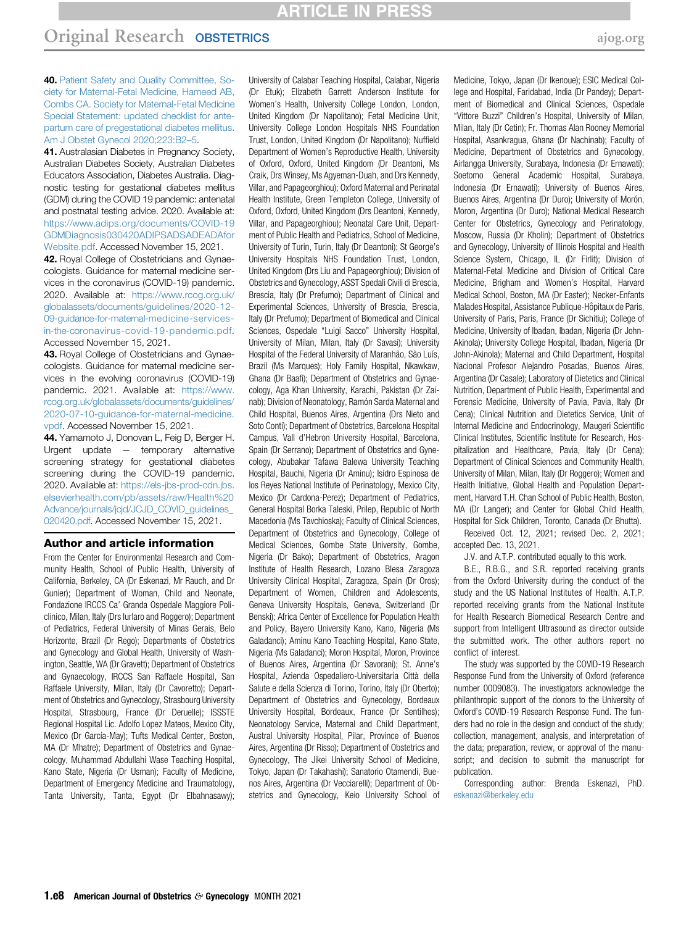<span id="page-7-0"></span>40. [Patient Safety and Quality Committee, So](http://refhub.elsevier.com/S0002-9378(21)02696-X/sref40)[ciety for Maternal-Fetal Medicine, Hameed AB,](http://refhub.elsevier.com/S0002-9378(21)02696-X/sref40) [Combs CA. Society for Maternal-Fetal Medicine](http://refhub.elsevier.com/S0002-9378(21)02696-X/sref40) [Special Statement: updated checklist for ante](http://refhub.elsevier.com/S0002-9378(21)02696-X/sref40)[partum care of pregestational diabetes mellitus.](http://refhub.elsevier.com/S0002-9378(21)02696-X/sref40) [Am J Obstet Gynecol 2020;223:B2](http://refhub.elsevier.com/S0002-9378(21)02696-X/sref40)–5.

<span id="page-7-1"></span>41. Australasian Diabetes in Pregnancy Society, Australian Diabetes Society, Australian Diabetes Educators Association, Diabetes Australia. Diagnostic testing for gestational diabetes mellitus (GDM) during the COVID 19 pandemic: antenatal and postnatal testing advice. 2020. Available at: [https://www.adips.org/documents/COVID-19](https://www.adips.org/documents/COVID-19GDMDiagnosis030420ADIPSADSADEADAforWebsite.pdf) [GDMDiagnosis030420ADIPSADSADEADAfor](https://www.adips.org/documents/COVID-19GDMDiagnosis030420ADIPSADSADEADAforWebsite.pdf) [Website.pdf.](https://www.adips.org/documents/COVID-19GDMDiagnosis030420ADIPSADSADEADAforWebsite.pdf) Accessed November 15, 2021.

42. Royal College of Obstetricians and Gynaecologists. Guidance for maternal medicine services in the coronavirus (COVID-19) pandemic. 2020. Available at: [https://www.rcog.org.uk/](https://www.rcog.org.uk/globalassets/documents/guidelines/2020-12-09-guidance-for-maternal-medicine-services-in-the-coronavirus-covid-19-pandemic.pdf) [globalassets/documents/guidelines/2020-12-](https://www.rcog.org.uk/globalassets/documents/guidelines/2020-12-09-guidance-for-maternal-medicine-services-in-the-coronavirus-covid-19-pandemic.pdf) [09-guidance-for-maternal-medicine-services](https://www.rcog.org.uk/globalassets/documents/guidelines/2020-12-09-guidance-for-maternal-medicine-services-in-the-coronavirus-covid-19-pandemic.pdf)[in-the-coronavirus-covid-19-pandemic.pdf](https://www.rcog.org.uk/globalassets/documents/guidelines/2020-12-09-guidance-for-maternal-medicine-services-in-the-coronavirus-covid-19-pandemic.pdf). Accessed November 15, 2021.

43. Royal College of Obstetricians and Gynaecologists. Guidance for maternal medicine services in the evolving coronavirus (COVID-19) pandemic. 2021. Available at: [https://www.](https://www.rcog.org.uk/globalassets/documents/guidelines/2020-07-10-guidance-for-maternal-medicine.pdf) [rcog.org.uk/globalassets/documents/guidelines/](https://www.rcog.org.uk/globalassets/documents/guidelines/2020-07-10-guidance-for-maternal-medicine.pdf) [2020-07-10-guidance-for-maternal-medicine.](https://www.rcog.org.uk/globalassets/documents/guidelines/2020-07-10-guidance-for-maternal-medicine.pdf) [vpdf](https://www.rcog.org.uk/globalassets/documents/guidelines/2020-07-10-guidance-for-maternal-medicine.pdf). Accessed November 15, 2021.

44. Yamamoto J, Donovan L, Feig D, Berger H. Urgent update  $-$  temporary alternative screening strategy for gestational diabetes screening during the COVID-19 pandemic. 2020. Available at: [https://els-jbs-prod-cdn.jbs.](https://els-jbs-prod-cdn.jbs.elsevierhealth.com/pb/assets/raw/Health%20Advance/journals/jcjd/JCJD_COVID_guidelines_020420.pdf) [elsevierhealth.com/pb/assets/raw/Health%20](https://els-jbs-prod-cdn.jbs.elsevierhealth.com/pb/assets/raw/Health%20Advance/journals/jcjd/JCJD_COVID_guidelines_020420.pdf) Advance/journals/jcjd/JCJD\_COVID\_quidelines [020420.pdf.](https://els-jbs-prod-cdn.jbs.elsevierhealth.com/pb/assets/raw/Health%20Advance/journals/jcjd/JCJD_COVID_guidelines_020420.pdf) Accessed November 15, 2021.

#### Author and article information

From the Center for Environmental Research and Community Health, School of Public Health, University of California, Berkeley, CA (Dr Eskenazi, Mr Rauch, and Dr Gunier); Department of Woman, Child and Neonate, Fondazione IRCCS Ca' Granda Ospedale Maggiore Policlinico, Milan, Italy (Drs Iurlaro and Roggero); Department of Pediatrics, Federal University of Minas Gerais, Belo Horizonte, Brazil (Dr Rego); Departments of Obstetrics and Gynecology and Global Health, University of Washington, Seattle, WA (Dr Gravett); Department of Obstetrics and Gynaecology, IRCCS San Raffaele Hospital, San Raffaele University, Milan, Italy (Dr Cavoretto); Department of Obstetrics and Gynecology, Strasbourg University Hospital, Strasbourg, France (Dr Deruelle); ISSSTE Regional Hospital Lic. Adolfo Lopez Mateos, Mexico City, Mexico (Dr García-May); Tufts Medical Center, Boston, MA (Dr Mhatre); Department of Obstetrics and Gynaecology, Muhammad Abdullahi Wase Teaching Hospital, Kano State, Nigeria (Dr Usman); Faculty of Medicine, Department of Emergency Medicine and Traumatology, Tanta University, Tanta, Egypt (Dr Elbahnasawy);

University of Calabar Teaching Hospital, Calabar, Nigeria (Dr Etuk); Elizabeth Garrett Anderson Institute for Women's Health, University College London, London, United Kingdom (Dr Napolitano); Fetal Medicine Unit, University College London Hospitals NHS Foundation Trust, London, United Kingdom (Dr Napolitano); Nuffield Department of Women's Reproductive Health, University of Oxford, Oxford, United Kingdom (Dr Deantoni, Ms Craik, Drs Winsey, Ms Agyeman-Duah, and Drs Kennedy, Villar, and Papageorghiou); Oxford Maternal and Perinatal Health Institute, Green Templeton College, University of Oxford, Oxford, United Kingdom (Drs Deantoni, Kennedy, Villar, and Papageorghiou); Neonatal Care Unit, Department of Public Health and Pediatrics, School of Medicine, University of Turin, Turin, Italy (Dr Deantoni); St George's University Hospitals NHS Foundation Trust, London, United Kingdom (Drs Liu and Papageorghiou); Division of Obstetrics and Gynecology, ASST Spedali Civili di Brescia, Brescia, Italy (Dr Prefumo); Department of Clinical and Experimental Sciences, University of Brescia, Brescia, Italy (Dr Prefumo); Department of Biomedical and Clinical Sciences, Ospedale "Luigi Sacco" University Hospital, University of Milan, Milan, Italy (Dr Savasi); University Hospital of the Federal University of Maranhão, São Luís, Brazil (Ms Marques); Holy Family Hospital, Nkawkaw, Ghana (Dr Baafi); Department of Obstetrics and Gynaecology, Aga Khan University, Karachi, Pakistan (Dr Zainab); Division of Neonatology, Ramón Sarda Maternal and Child Hospital, Buenos Aires, Argentina (Drs Nieto and Soto Conti); Department of Obstetrics, Barcelona Hospital Campus, Vall d'Hebron University Hospital, Barcelona, Spain (Dr Serrano); Department of Obstetrics and Gynecology, Abubakar Tafawa Balewa University Teaching Hospital, Bauchi, Nigeria (Dr Aminu); Isidro Espinosa de los Reyes National Institute of Perinatology, Mexico City, Mexico (Dr Cardona-Perez); Department of Pediatrics, General Hospital Borka Taleski, Prilep, Republic of North Macedonia (Ms Tavchioska); Faculty of Clinical Sciences, Department of Obstetrics and Gynecology, College of Medical Sciences, Gombe State University, Gombe, Nigeria (Dr Bako); Department of Obstetrics, Aragon Institute of Health Research, Lozano Blesa Zaragoza University Clinical Hospital, Zaragoza, Spain (Dr Oros); Department of Women, Children and Adolescents, Geneva University Hospitals, Geneva, Switzerland (Dr Benski); Africa Center of Excellence for Population Health and Policy, Bayero University Kano, Kano, Nigeria (Ms Galadanci); Aminu Kano Teaching Hospital, Kano State, Nigeria (Ms Galadanci); Moron Hospital, Moron, Province of Buenos Aires, Argentina (Dr Savorani); St. Anne's Hospital, Azienda Ospedaliero-Universitaria Città della Salute e della Scienza di Torino, Torino, Italy (Dr Oberto); Department of Obstetrics and Gynecology, Bordeaux University Hospital, Bordeaux, France (Dr Sentilhes); Neonatology Service, Maternal and Child Department, Austral University Hospital, Pilar, Province of Buenos Aires, Argentina (Dr Risso); Department of Obstetrics and Gynecology, The Jikei University School of Medicine, Tokyo, Japan (Dr Takahashi); Sanatorio Otamendi, Buenos Aires, Argentina (Dr Vecciarelli); Department of Obstetrics and Gynecology, Keio University School of

Medicine, Tokyo, Japan (Dr Ikenoue); ESIC Medical College and Hospital, Faridabad, India (Dr Pandey); Department of Biomedical and Clinical Sciences, Ospedale "Vittore Buzzi" Children's Hospital, University of Milan, Milan, Italy (Dr Cetin); Fr. Thomas Alan Rooney Memorial Hospital, Asankragua, Ghana (Dr Nachinab); Faculty of Medicine, Department of Obstetrics and Gynecology, Airlangga University, Surabaya, Indonesia (Dr Ernawati); Soetomo General Academic Hospital, Surabaya, Indonesia (Dr Ernawati); University of Buenos Aires, Buenos Aires, Argentina (Dr Duro); University of Morón, Moron, Argentina (Dr Duro); National Medical Research Center for Obstetrics, Gynecology and Perinatology, Moscow, Russia (Dr Kholin); Department of Obstetrics and Gynecology, University of Illinois Hospital and Health Science System, Chicago, IL (Dr Firlit); Division of Maternal-Fetal Medicine and Division of Critical Care Medicine, Brigham and Women's Hospital, Harvard Medical School, Boston, MA (Dr Easter); Necker-Enfants Malades Hospital, Assistance Publique-Hôpitaux de Paris, University of Paris, Paris, France (Dr Sichitiu); College of Medicine, University of Ibadan, Ibadan, Nigeria (Dr John-Akinola); University College Hospital, Ibadan, Nigeria (Dr John-Akinola); Maternal and Child Department, Hospital Nacional Profesor Alejandro Posadas, Buenos Aires, Argentina (Dr Casale); Laboratory of Dietetics and Clinical Nutrition, Department of Public Health, Experimental and Forensic Medicine, University of Pavia, Pavia, Italy (Dr Cena); Clinical Nutrition and Dietetics Service, Unit of Internal Medicine and Endocrinology, Maugeri Scientific Clinical Institutes, Scientific Institute for Research, Hospitalization and Healthcare, Pavia, Italy (Dr Cena); Department of Clinical Sciences and Community Health, University of Milan, Milan, Italy (Dr Roggero); Women and Health Initiative, Global Health and Population Department, Harvard T.H. Chan School of Public Health, Boston, MA (Dr Langer); and Center for Global Child Health, Hospital for Sick Children, Toronto, Canada (Dr Bhutta).

Received Oct. 12, 2021; revised Dec. 2, 2021; accepted Dec. 13, 2021.

J.V. and A.T.P. contributed equally to this work.

B.E., R.B.G., and S.R. reported receiving grants from the Oxford University during the conduct of the study and the US National Institutes of Health. A.T.P. reported receiving grants from the National Institute for Health Research Biomedical Research Centre and support from Intelligent Ultrasound as director outside the submitted work. The other authors report no conflict of interest.

The study was supported by the COVID-19 Research Response Fund from the University of Oxford (reference number 0009083). The investigators acknowledge the philanthropic support of the donors to the University of Oxford's COVID-19 Research Response Fund. The funders had no role in the design and conduct of the study; collection, management, analysis, and interpretation of the data; preparation, review, or approval of the manuscript; and decision to submit the manuscript for publication.

Corresponding author: Brenda Eskenazi, PhD. [eskenazi@berkeley.edu](mailto:eskenazi@berkeley.edu)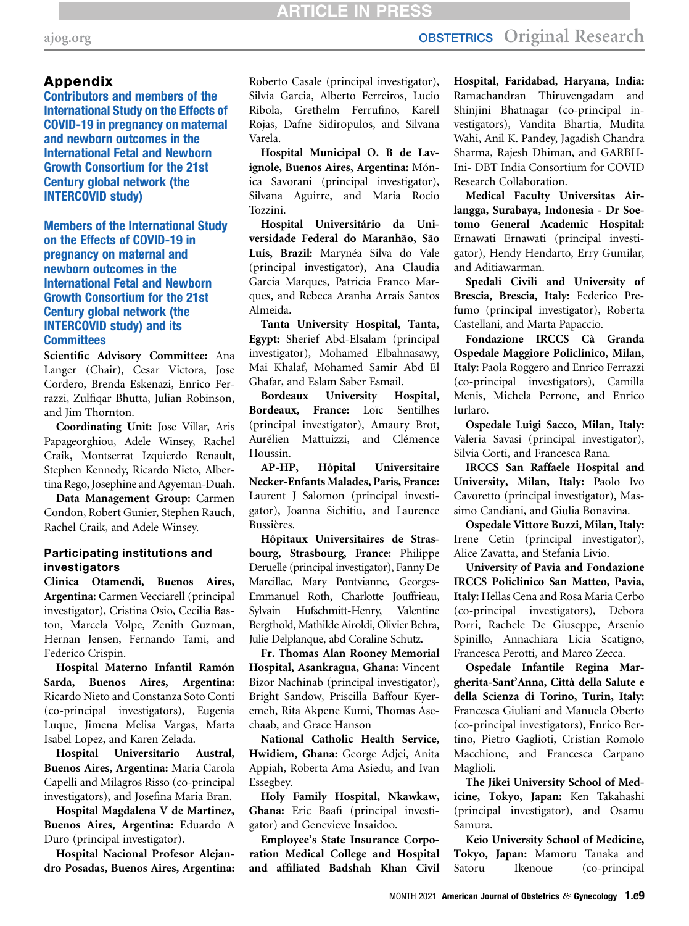## [ajog.org](http://www.AJOG.org) **OBSTETRICS** Original Research

## <span id="page-8-0"></span>Appendix

Contributors and members of the International Study on the Effects of COVID-19 in pregnancy on maternal and newborn outcomes in the International Fetal and Newborn Growth Consortium for the 21st Century global network (the INTERCOVID study)

Members of the International Study on the Effects of COVID-19 in pregnancy on maternal and newborn outcomes in the International Fetal and Newborn Growth Consortium for the 21st Century global network (the INTERCOVID study) and its **Committees** 

Scientific Advisory Committee: Ana Langer (Chair), Cesar Victora, Jose Cordero, Brenda Eskenazi, Enrico Ferrazzi, Zulfiqar Bhutta, Julian Robinson, and Jim Thornton.

Coordinating Unit: Jose Villar, Aris Papageorghiou, Adele Winsey, Rachel Craik, Montserrat Izquierdo Renault, Stephen Kennedy, Ricardo Nieto, Albertina Rego, Josephine and Agyeman-Duah.

Data Management Group: Carmen Condon, Robert Gunier, Stephen Rauch, Rachel Craik, and Adele Winsey.

#### Participating institutions and investigators

Clinica Otamendi, Buenos Aires, Argentina: Carmen Vecciarell (principal investigator), Cristina Osio, Cecilia Baston, Marcela Volpe, Zenith Guzman, Hernan Jensen, Fernando Tami, and Federico Crispin.

Hospital Materno Infantil Ramón Sarda, Buenos Aires, Argentina: Ricardo Nieto and Constanza Soto Conti (co-principal investigators), Eugenia Luque, Jimena Melisa Vargas, Marta Isabel Lopez, and Karen Zelada.

Hospital Universitario Austral, Buenos Aires, Argentina: Maria Carola Capelli and Milagros Risso (co-principal investigators), and Josefina Maria Bran.

Hospital Magdalena V de Martinez, Buenos Aires, Argentina: Eduardo A Duro (principal investigator).

Hospital Nacional Profesor Alejandro Posadas, Buenos Aires, Argentina: Roberto Casale (principal investigator), Silvia Garcia, Alberto Ferreiros, Lucio Ribola, Grethelm Ferrufino, Karell Rojas, Dafne Sidiropulos, and Silvana Varela.

Hospital Municipal O. B de Lavignole, Buenos Aires, Argentina: Mónica Savorani (principal investigator), Silvana Aguirre, and Maria Rocio Tozzini.

Hospital Universitário da Universidade Federal do Maranhão, São Luís, Brazil: Marynéa Silva do Vale (principal investigator), Ana Claudia Garcia Marques, Patricia Franco Marques, and Rebeca Aranha Arrais Santos Almeida.

Tanta University Hospital, Tanta, Egypt: Sherief Abd-Elsalam (principal investigator), Mohamed Elbahnasawy, Mai Khalaf, Mohamed Samir Abd El Ghafar, and Eslam Saber Esmail.

Bordeaux University Hospital, Bordeaux, France: Loïc Sentilhes (principal investigator), Amaury Brot, Aurélien Mattuizzi, and Clémence Houssin.

AP-HP, Hôpital Universitaire Necker-Enfants Malades, Paris, France: Laurent J Salomon (principal investigator), Joanna Sichitiu, and Laurence Bussières.

Hôpitaux Universitaires de Strasbourg, Strasbourg, France: Philippe Deruelle (principal investigator), Fanny De Marcillac, Mary Pontvianne, Georges-Emmanuel Roth, Charlotte Jouffrieau, Sylvain Hufschmitt-Henry, Valentine Bergthold, Mathilde Airoldi, Olivier Behra, Julie Delplanque, abd Coraline Schutz.

Fr. Thomas Alan Rooney Memorial Hospital, Asankragua, Ghana: Vincent Bizor Nachinab (principal investigator), Bright Sandow, Priscilla Baffour Kyeremeh, Rita Akpene Kumi, Thomas Asechaab, and Grace Hanson

National Catholic Health Service, Hwidiem, Ghana: George Adjei, Anita Appiah, Roberta Ama Asiedu, and Ivan Essegbey.

Holy Family Hospital, Nkawkaw, Ghana: Eric Baafi (principal investigator) and Genevieve Insaidoo.

Employee's State Insurance Corporation Medical College and Hospital and affiliated Badshah Khan Civil

Hospital, Faridabad, Haryana, India: Ramachandran Thiruvengadam and Shinjini Bhatnagar (co-principal investigators), Vandita Bhartia, Mudita Wahi, Anil K. Pandey, Jagadish Chandra Sharma, Rajesh Dhiman, and GARBH-Ini- DBT India Consortium for COVID Research Collaboration.

Medical Faculty Universitas Airlangga, Surabaya, Indonesia - Dr Soetomo General Academic Hospital: Ernawati Ernawati (principal investigator), Hendy Hendarto, Erry Gumilar, and Aditiawarman.

Spedali Civili and University of Brescia, Brescia, Italy: Federico Prefumo (principal investigator), Roberta Castellani, and Marta Papaccio.

Fondazione IRCCS Cà Granda Ospedale Maggiore Policlinico, Milan, Italy: Paola Roggero and Enrico Ferrazzi (co-principal investigators), Camilla Menis, Michela Perrone, and Enrico Iurlaro.

Ospedale Luigi Sacco, Milan, Italy: Valeria Savasi (principal investigator), Silvia Corti, and Francesca Rana.

IRCCS San Raffaele Hospital and University, Milan, Italy: Paolo Ivo Cavoretto (principal investigator), Massimo Candiani, and Giulia Bonavina.

Ospedale Vittore Buzzi, Milan, Italy: Irene Cetin (principal investigator), Alice Zavatta, and Stefania Livio.

University of Pavia and Fondazione IRCCS Policlinico San Matteo, Pavia, Italy: Hellas Cena and Rosa Maria Cerbo (co-principal investigators), Debora Porri, Rachele De Giuseppe, Arsenio Spinillo, Annachiara Licia Scatigno, Francesca Perotti, and Marco Zecca.

Ospedale Infantile Regina Margherita-Sant'Anna, Città della Salute e della Scienza di Torino, Turin, Italy: Francesca Giuliani and Manuela Oberto (co-principal investigators), Enrico Bertino, Pietro Gaglioti, Cristian Romolo Macchione, and Francesca Carpano Maglioli.

The Jikei University School of Medicine, Tokyo, Japan: Ken Takahashi (principal investigator), and Osamu Samura.

Keio University School of Medicine, Tokyo, Japan: Mamoru Tanaka and Satoru Ikenoue (co-principal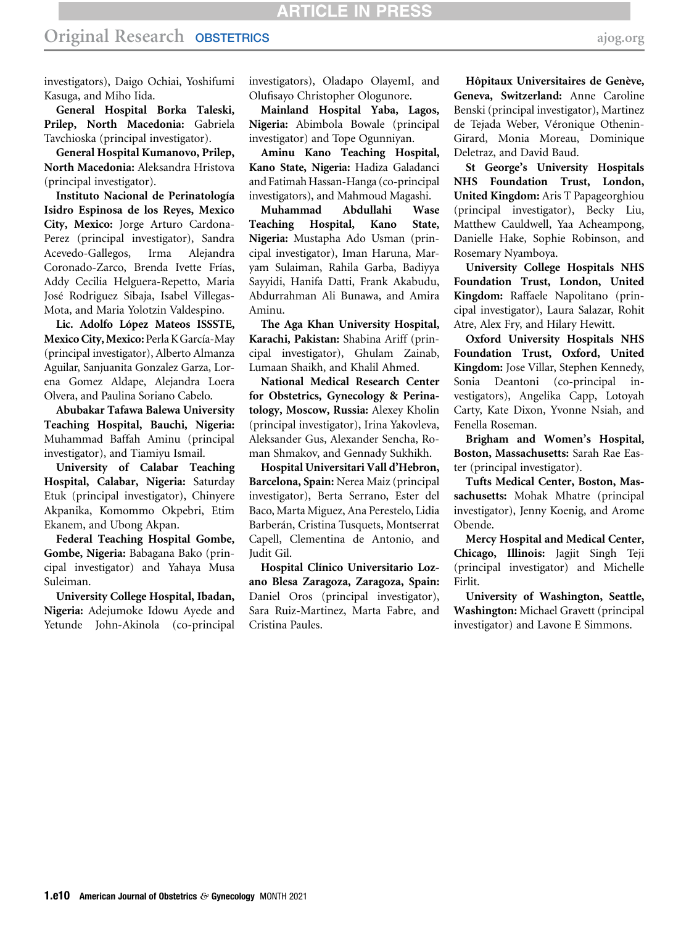investigators), Daigo Ochiai, Yoshifumi Kasuga, and Miho Iida.

General Hospital Borka Taleski, Prilep, North Macedonia: Gabriela Tavchioska (principal investigator).

General Hospital Kumanovo, Prilep, North Macedonia: Aleksandra Hristova (principal investigator).

Instituto Nacional de Perinatología Isidro Espinosa de los Reyes, Mexico City, Mexico: Jorge Arturo Cardona-Perez (principal investigator), Sandra Acevedo-Gallegos, Irma Alejandra Coronado-Zarco, Brenda Ivette Frías, Addy Cecilia Helguera-Repetto, Maria José Rodriguez Sibaja, Isabel Villegas-Mota, and Maria Yolotzin Valdespino.

Lic. Adolfo López Mateos ISSSTE, Mexico City, Mexico: Perla KGarcía-May (principal investigator), Alberto Almanza Aguilar, Sanjuanita Gonzalez Garza, Lorena Gomez Aldape, Alejandra Loera Olvera, and Paulina Soriano Cabelo.

Abubakar Tafawa Balewa University Teaching Hospital, Bauchi, Nigeria: Muhammad Baffah Aminu (principal investigator), and Tiamiyu Ismail.

University of Calabar Teaching Hospital, Calabar, Nigeria: Saturday Etuk (principal investigator), Chinyere Akpanika, Komommo Okpebri, Etim Ekanem, and Ubong Akpan.

Federal Teaching Hospital Gombe, Gombe, Nigeria: Babagana Bako (principal investigator) and Yahaya Musa Suleiman.

University College Hospital, Ibadan, Nigeria: Adejumoke Idowu Ayede and Yetunde John-Akinola (co-principal

investigators), Oladapo OlayemI, and Olufisayo Christopher Ologunore.

Mainland Hospital Yaba, Lagos, Nigeria: Abimbola Bowale (principal investigator) and Tope Ogunniyan.

Aminu Kano Teaching Hospital, Kano State, Nigeria: Hadiza Galadanci and Fatimah Hassan-Hanga (co-principal investigators), and Mahmoud Magashi.

Muhammad Abdullahi Wase Teaching Hospital, Kano State, Nigeria: Mustapha Ado Usman (principal investigator), Iman Haruna, Maryam Sulaiman, Rahila Garba, Badiyya Sayyidi, Hanifa Datti, Frank Akabudu, Abdurrahman Ali Bunawa, and Amira Aminu.

The Aga Khan University Hospital, Karachi, Pakistan: Shabina Ariff (principal investigator), Ghulam Zainab, Lumaan Shaikh, and Khalil Ahmed.

National Medical Research Center for Obstetrics, Gynecology & Perinatology, Moscow, Russia: Alexey Kholin (principal investigator), Irina Yakovleva, Aleksander Gus, Alexander Sencha, Roman Shmakov, and Gennady Sukhikh.

Hospital Universitari Vall d'Hebron, Barcelona, Spain: Nerea Maiz (principal investigator), Berta Serrano, Ester del Baco, Marta Miguez, Ana Perestelo, Lidia Barberán, Cristina Tusquets, Montserrat Capell, Clementina de Antonio, and Judit Gil.

Hospital Clínico Universitario Lozano Blesa Zaragoza, Zaragoza, Spain: Daniel Oros (principal investigator), Sara Ruiz-Martinez, Marta Fabre, and Cristina Paules.

Hôpitaux Universitaires de Genève, Geneva, Switzerland: Anne Caroline Benski (principal investigator), Martinez de Tejada Weber, Véronique Othenin-Girard, Monia Moreau, Dominique Deletraz, and David Baud.

St George's University Hospitals NHS Foundation Trust, London, United Kingdom: Aris T Papageorghiou (principal investigator), Becky Liu, Matthew Cauldwell, Yaa Acheampong, Danielle Hake, Sophie Robinson, and Rosemary Nyamboya.

University College Hospitals NHS Foundation Trust, London, United Kingdom: Raffaele Napolitano (principal investigator), Laura Salazar, Rohit Atre, Alex Fry, and Hilary Hewitt.

Oxford University Hospitals NHS Foundation Trust, Oxford, United Kingdom: Jose Villar, Stephen Kennedy, Sonia Deantoni (co-principal investigators), Angelika Capp, Lotoyah Carty, Kate Dixon, Yvonne Nsiah, and Fenella Roseman.

Brigham and Women's Hospital, Boston, Massachusetts: Sarah Rae Easter (principal investigator).

Tufts Medical Center, Boston, Massachusetts: Mohak Mhatre (principal investigator), Jenny Koenig, and Arome Obende.

Mercy Hospital and Medical Center, Chicago, Illinois: Jagjit Singh Teji (principal investigator) and Michelle Firlit.

University of Washington, Seattle, Washington: Michael Gravett (principal investigator) and Lavone E Simmons.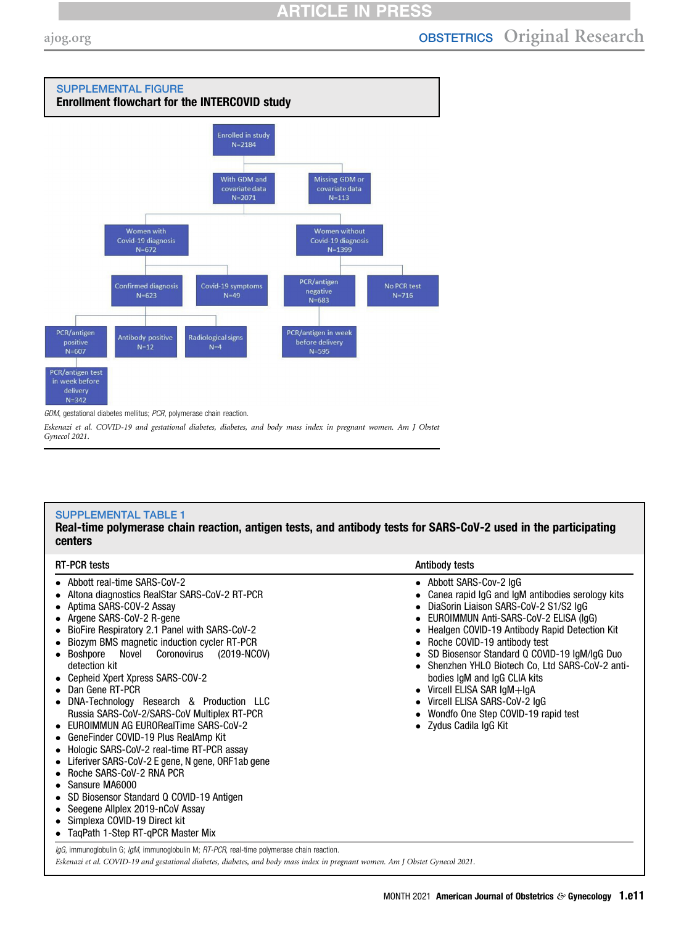<span id="page-10-0"></span>

GDM, gestational diabetes mellitus; PCR, polymerase chain reaction.

Eskenazi et al. COVID-19 and gestational diabetes, diabetes, and body mass index in pregnant women. Am J Obstet Gynecol 2021.

### <span id="page-10-1"></span>SUPPLEMENTAL TABLE 1

Real-time polymerase chain reaction, antigen tests, and antibody tests for SARS-CoV-2 used in the participating centers

| Abbott real-time SARS-CoV-2<br>Altona diagnostics RealStar SARS-CoV-2 RT-PCR<br>Aptima SARS-COV-2 Assay<br>Argene SARS-CoV-2 R-gene<br>BioFire Respiratory 2.1 Panel with SARS-CoV-2<br>Biozym BMS magnetic induction cycler RT-PCR<br>Novel<br>Coronovirus<br>(2019-NCOV)<br>Boshpore<br>detection kit<br>Cepheid Xpert Xpress SARS-COV-2<br>• Dan Gene RT-PCR<br>DNA-Technology Research & Production LLC<br>Russia SARS-CoV-2/SARS-CoV Multiplex RT-PCR<br>• EUROIMMUN AG EURORealTime SARS-CoV-2<br>GeneFinder COVID-19 Plus RealAmp Kit<br>٠<br>Hologic SARS-CoV-2 real-time RT-PCR assay<br>Liferiver SARS-CoV-2 E gene, N gene, ORF1ab gene<br>Roche SARS-CoV-2 RNA PCR<br>• Sansure MA6000<br>SD Biosensor Standard Q COVID-19 Antigen<br>Seegene Allplex 2019-nCoV Assay<br>Simplexa COVID-19 Direct kit<br>TagPath 1-Step RT-gPCR Master Mix | • Abbott SARS-Cov-2 IgG<br>Canea rapid IgG and IgM antibodies serology kits<br>DiaSorin Liaison SARS-CoV-2 S1/S2 IgG<br>$\bullet$<br>EUROIMMUN Anti-SARS-CoV-2 ELISA (IqG)<br>Healgen COVID-19 Antibody Rapid Detection Kit<br>Roche COVID-19 antibody test<br>٠<br>• SD Biosensor Standard Q COVID-19 IgM/IgG Duo<br>• Shenzhen YHLO Biotech Co, Ltd SARS-CoV-2 anti-<br>bodies IgM and IgG CLIA kits<br>Vircell ELISA SAR IgM+IgA<br>Vircell ELISA SARS-CoV-2 IgG<br>Wondfo One Step COVID-19 rapid test<br>• Zydus Cadila IgG Kit |
|--------------------------------------------------------------------------------------------------------------------------------------------------------------------------------------------------------------------------------------------------------------------------------------------------------------------------------------------------------------------------------------------------------------------------------------------------------------------------------------------------------------------------------------------------------------------------------------------------------------------------------------------------------------------------------------------------------------------------------------------------------------------------------------------------------------------------------------------------------|--------------------------------------------------------------------------------------------------------------------------------------------------------------------------------------------------------------------------------------------------------------------------------------------------------------------------------------------------------------------------------------------------------------------------------------------------------------------------------------------------------------------------------------|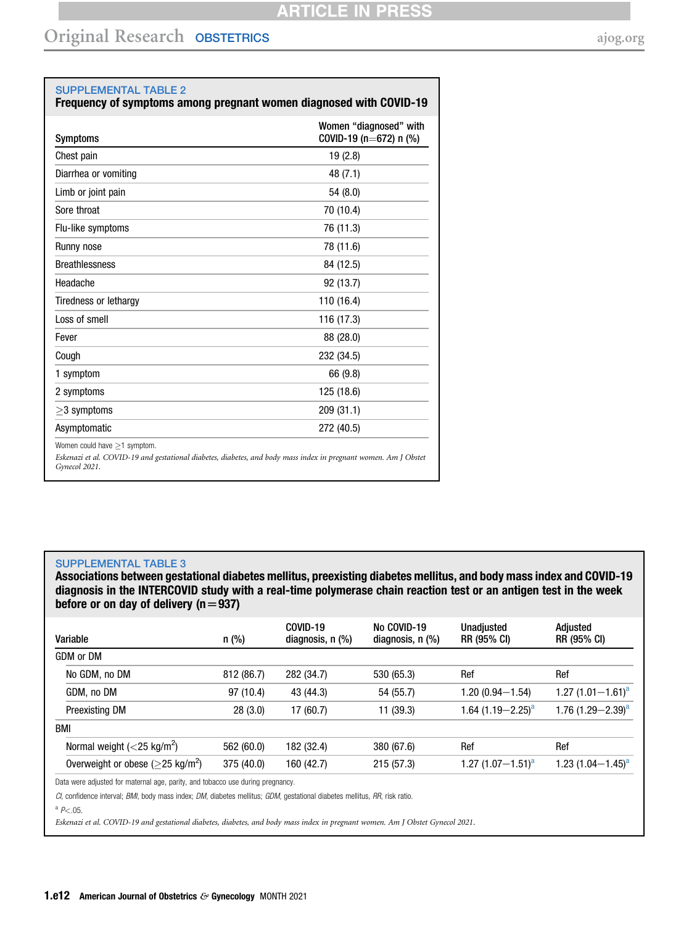$\overline{\phantom{0}}$ 

<span id="page-11-0"></span>

| <b>SUPPLEMENTAL TABLE 2</b><br>Frequency of symptoms among pregnant women diagnosed with COVID-19 |                                                  |  |  |
|---------------------------------------------------------------------------------------------------|--------------------------------------------------|--|--|
| <b>Symptoms</b>                                                                                   | Women "diagnosed" with<br>COVID-19 (n=672) n (%) |  |  |
| Chest pain                                                                                        | 19(2.8)                                          |  |  |
| Diarrhea or vomiting                                                                              | 48 (7.1)                                         |  |  |
| Limb or joint pain                                                                                | 54(8.0)                                          |  |  |
| Sore throat                                                                                       | 70 (10.4)                                        |  |  |
| Flu-like symptoms                                                                                 | 76 (11.3)                                        |  |  |
| Runny nose                                                                                        | 78 (11.6)                                        |  |  |

| <b>Breathlessness</b>                           | 84 (12.5)                                                                                                       |
|-------------------------------------------------|-----------------------------------------------------------------------------------------------------------------|
| Headache                                        | 92 (13.7)                                                                                                       |
| Tiredness or lethargy                           | 110 (16.4)                                                                                                      |
| Loss of smell                                   | 116 (17.3)                                                                                                      |
| Fever                                           | 88 (28.0)                                                                                                       |
| Cough                                           | 232 (34.5)                                                                                                      |
| 1 symptom                                       | 66 (9.8)                                                                                                        |
| 2 symptoms                                      | 125 (18.6)                                                                                                      |
| $>3$ symptoms                                   | 209(31.1)                                                                                                       |
| Asymptomatic                                    | 272 (40.5)                                                                                                      |
| Women could have $>1$ symptom.<br>Gynecol 2021. | Eskenazi et al. COVID-19 and gestational diabetes, diabetes, and body mass index in pregnant women. Am J Obstet |

### <span id="page-11-1"></span>SUPPLEMENTAL TABLE 3

Associations between gestational diabetes mellitus, preexisting diabetes mellitus, and body mass index and COVID-19 diagnosis in the INTERCOVID study with a real-time polymerase chain reaction test or an antigen test in the week before or on day of delivery ( $n=937$ )

| $n$ (%)    | COVID-19<br>diagnosis, $n$ $%$ | No COVID-19<br>diagnosis, $n$ $%$ | <b>Unadiusted</b><br>RR (95% CI) | Adiusted<br>RR (95% CI) |
|------------|--------------------------------|-----------------------------------|----------------------------------|-------------------------|
|            |                                |                                   |                                  |                         |
| 812 (86.7) | 282 (34.7)                     | 530 (65.3)                        | Ref                              | Ref                     |
| 97 (10.4)  | 43 (44.3)                      | 54 (55.7)                         | $1.20(0.94 - 1.54)$              | 1.27 $(1.01 - 1.61)^a$  |
| 28(3.0)    | 17 (60.7)                      | 11 (39.3)                         | 1.64 $(1.19 - 2.25)^a$           | 1.76 $(1.29 - 2.39)^a$  |
|            |                                |                                   |                                  |                         |
| 562 (60.0) | 182 (32.4)                     | 380 (67.6)                        | Ref                              | Ref                     |
| 375 (40.0) | 160 (42.7)                     | 215 (57.3)                        | 1.27 $(1.07 - 1.51)^a$           | 1.23 $(1.04 - 1.45)^a$  |
|            |                                |                                   |                                  |                         |

Data were adjusted for maternal age, parity, and tobacco use during pregnancy.

CI, confidence interval; BMI, body mass index; DM, diabetes mellitus; GDM, gestational diabetes mellitus, RR, risk ratio.

<span id="page-11-2"></span> $^{a}$  P < .05.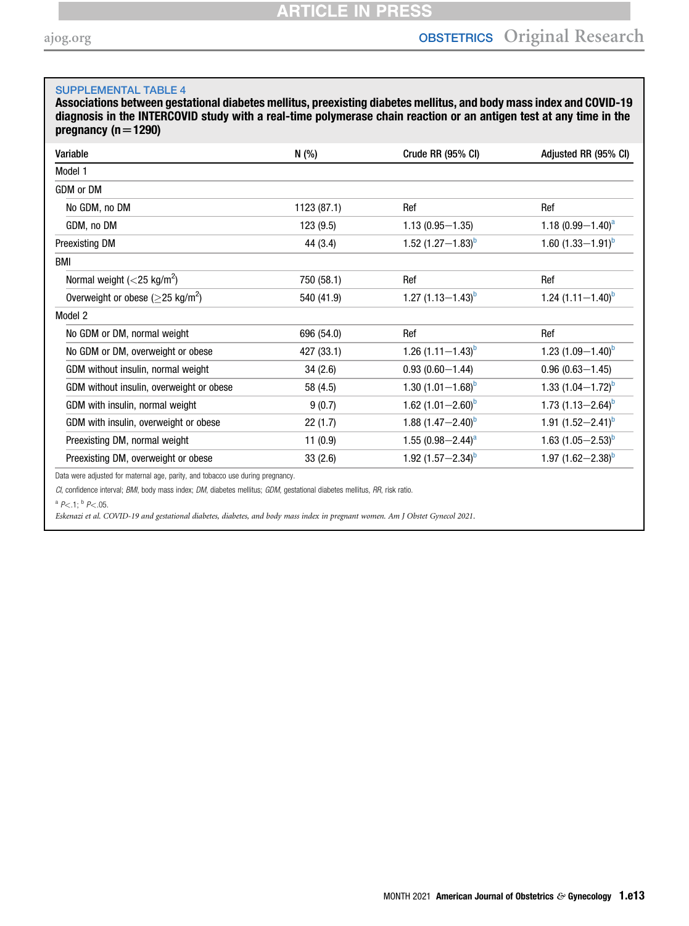### <span id="page-12-0"></span>SUPPLEMENTAL TABLE 4

Associations between gestational diabetes mellitus, preexisting diabetes mellitus, and body mass index and COVID-19 diagnosis in the INTERCOVID study with a real-time polymerase chain reaction or an antigen test at any time in the pregnancy ( $n=1290$ )

| Variable                                         | N (%)       | Crude RR (95% CI)        | Adjusted RR (95% CI)   |
|--------------------------------------------------|-------------|--------------------------|------------------------|
| Model 1                                          |             |                          |                        |
| GDM or DM                                        |             |                          |                        |
| No GDM, no DM                                    | 1123 (87.1) | Ref                      | Ref                    |
| GDM, no DM                                       | 123 (9.5)   | $1.13(0.95 - 1.35)$      | 1.18 $(0.99 - 1.40)^a$ |
| Preexisting DM                                   | 44 (3.4)    | 1.52 $(1.27 - 1.83)^{b}$ | 1.60 $(1.33 - 1.91)^b$ |
| BMI                                              |             |                          |                        |
| Normal weight $(<$ 25 kg/m <sup>2</sup> )        | 750 (58.1)  | Ref                      | Ref                    |
| Overweight or obese ( $>$ 25 kg/m <sup>2</sup> ) | 540 (41.9)  | 1.27 $(1.13 - 1.43)^b$   | 1.24 $(1.11 - 1.40)^b$ |
| Model 2                                          |             |                          |                        |
| No GDM or DM, normal weight                      | 696 (54.0)  | Ref                      | Ref                    |
| No GDM or DM, overweight or obese                | 427 (33.1)  | 1.26 $(1.11 - 1.43)^{b}$ | 1.23 $(1.09 - 1.40)^b$ |
| GDM without insulin, normal weight               | 34(2.6)     | $0.93(0.60 - 1.44)$      | $0.96(0.63 - 1.45)$    |
| GDM without insulin, overweight or obese         | 58 (4.5)    | 1.30 $(1.01 - 1.68)^b$   | 1.33 $(1.04 - 1.72)^b$ |
| GDM with insulin, normal weight                  | 9(0.7)      | 1.62 $(1.01 - 2.60)^b$   | 1.73 $(1.13 - 2.64)^b$ |
| GDM with insulin, overweight or obese            | 22(1.7)     | 1.88 $(1.47 - 2.40)^b$   | 1.91 $(1.52 - 2.41)^b$ |
| Preexisting DM, normal weight                    | 11(0.9)     | 1.55 $(0.98 - 2.44)^a$   | 1.63 $(1.05 - 2.53)^b$ |
| Preexisting DM, overweight or obese              | 33(2.6)     | 1.92 $(1.57 - 2.34)^b$   | 1.97 $(1.62 - 2.38)^b$ |

Data were adjusted for maternal age, parity, and tobacco use during pregnancy.

CI, confidence interval; BMI, body mass index; DM, diabetes mellitus; GDM, gestational diabetes mellitus, RR, risk ratio.

<span id="page-12-1"></span> $^a$  P < .1;  $^b$  P < .05.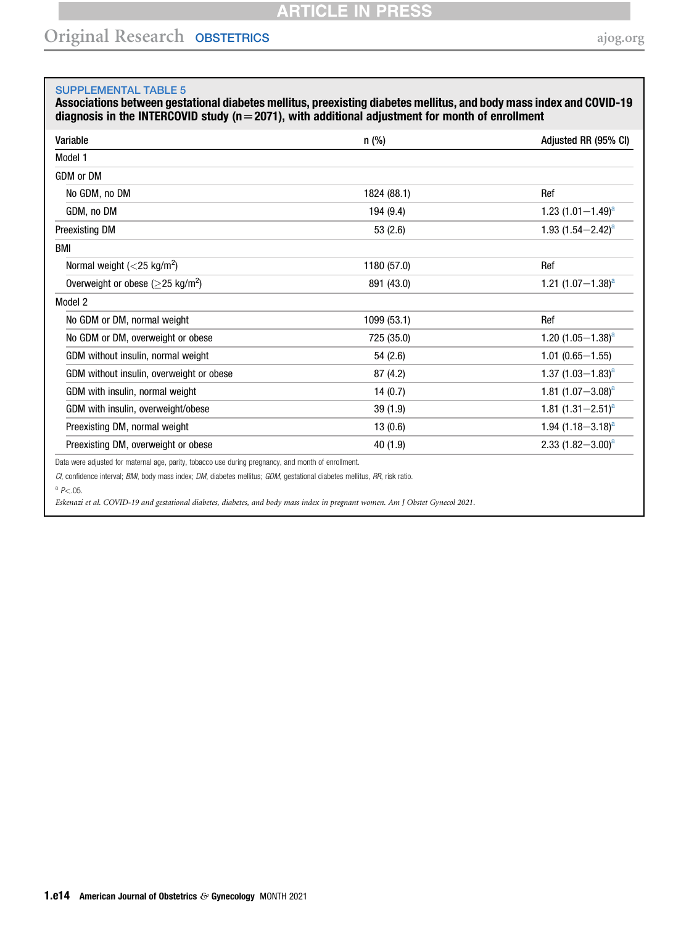## Original Research OBSTETRICS [ajog.org](http://www.AJOG.org)

#### <span id="page-13-0"></span>SUPPLEMENTAL TABLE 5

Associations between gestational diabetes mellitus, preexisting diabetes mellitus, and body mass index and COVID-19 diagnosis in the INTERCOVID study ( $n=2071$ ), with additional adjustment for month of enrollment

| Variable                                                                                            | $n$ (%)     | Adjusted RR (95% CI)   |
|-----------------------------------------------------------------------------------------------------|-------------|------------------------|
| Model 1                                                                                             |             |                        |
| GDM or DM                                                                                           |             |                        |
| No GDM, no DM                                                                                       | 1824 (88.1) | Ref                    |
| GDM, no DM                                                                                          | 194 (9.4)   | 1.23 $(1.01 - 1.49)^a$ |
| <b>Preexisting DM</b>                                                                               | 53(2.6)     | 1.93 $(1.54 - 2.42)^a$ |
| BMI                                                                                                 |             |                        |
| Normal weight $(<$ 25 kg/m <sup>2</sup> )                                                           | 1180 (57.0) | Ref                    |
| Overweight or obese ( $\geq$ 25 kg/m <sup>2</sup> )                                                 | 891 (43.0)  | 1.21 $(1.07-1.38)^a$   |
| Model 2                                                                                             |             |                        |
| No GDM or DM, normal weight                                                                         | 1099 (53.1) | Ref                    |
| No GDM or DM, overweight or obese                                                                   | 725 (35.0)  | 1.20 $(1.05 - 1.38)^a$ |
| GDM without insulin, normal weight                                                                  | 54 (2.6)    | $1.01(0.65 - 1.55)$    |
| GDM without insulin, overweight or obese                                                            | 87 (4.2)    | 1.37 $(1.03 - 1.83)^a$ |
| GDM with insulin, normal weight                                                                     | 14(0.7)     | 1.81 $(1.07 - 3.08)^a$ |
| GDM with insulin, overweight/obese                                                                  | 39(1.9)     | 1.81 $(1.31 - 2.51)^a$ |
| Preexisting DM, normal weight                                                                       | 13(0.6)     | 1.94 $(1.18 - 3.18)^a$ |
| Preexisting DM, overweight or obese                                                                 | 40(1.9)     | 2.33 $(1.82 - 3.00)^a$ |
| Data were adjusted for maternal age, parity, tobacco use during pregnancy, and month of enrollment. |             |                        |

CI, confidence interval; BMI, body mass index; DM, diabetes mellitus; GDM, gestational diabetes mellitus, RR, risk ratio.

<span id="page-13-1"></span> $^{a}$  P < .05.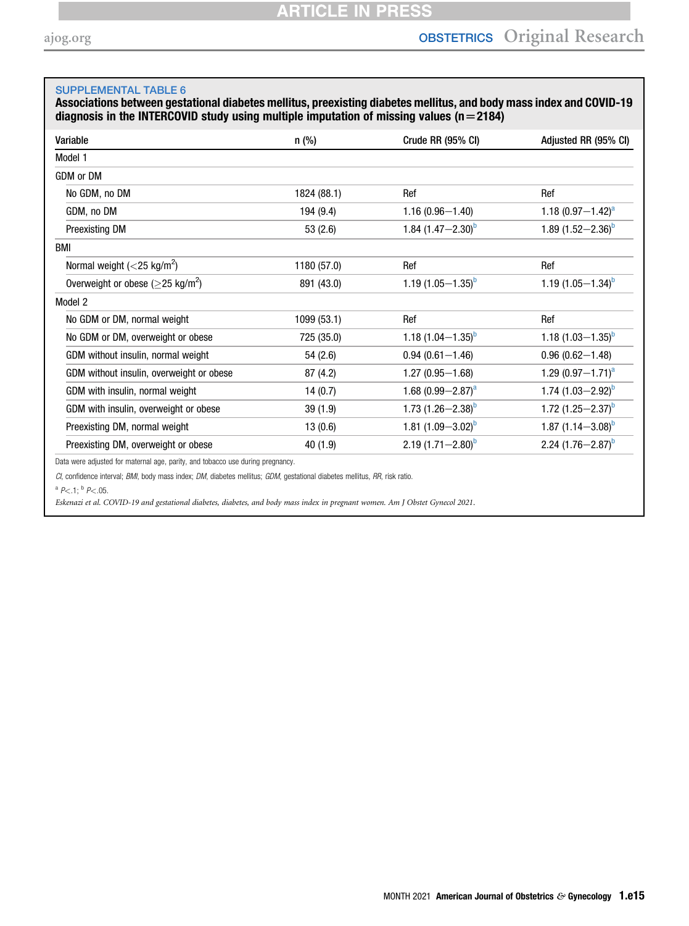### <span id="page-14-0"></span>SUPPLEMENTAL TABLE 6

Associations between gestational diabetes mellitus, preexisting diabetes mellitus, and body mass index and COVID-19 diagnosis in the INTERCOVID study using multiple imputation of missing values  $(n=2184)$ 

| Variable                                            | n (%)       | Crude RR (95% CI)      | Adjusted RR (95% CI)     |
|-----------------------------------------------------|-------------|------------------------|--------------------------|
| Model 1                                             |             |                        |                          |
| GDM or DM                                           |             |                        |                          |
| No GDM, no DM                                       | 1824 (88.1) | Ref                    | Ref                      |
| GDM, no DM                                          | 194 (9.4)   | $1.16(0.96 - 1.40)$    | 1.18 $(0.97 - 1.42)^a$   |
| <b>Preexisting DM</b>                               | 53(2.6)     | 1.84 $(1.47 - 2.30)^b$ | 1.89 $(1.52 - 2.36)^b$   |
| BMI                                                 |             |                        |                          |
| Normal weight $(<$ 25 kg/m <sup>2</sup> )           | 1180 (57.0) | Ref                    | Ref                      |
| Overweight or obese ( $\geq$ 25 kg/m <sup>2</sup> ) | 891 (43.0)  | 1.19 $(1.05-1.35)^b$   | 1.19 $(1.05-1.34)^b$     |
| Model 2                                             |             |                        |                          |
| No GDM or DM, normal weight                         | 1099 (53.1) | Ref                    | Ref                      |
| No GDM or DM, overweight or obese                   | 725 (35.0)  | 1.18 $(1.04 - 1.35)^b$ | 1.18 $(1.03 - 1.35)^{D}$ |
| GDM without insulin, normal weight                  | 54 (2.6)    | $0.94(0.61 - 1.46)$    | $0.96(0.62 - 1.48)$      |
| GDM without insulin, overweight or obese            | 87 (4.2)    | $1.27(0.95 - 1.68)$    | 1.29 $(0.97 - 1.71)^a$   |
| GDM with insulin, normal weight                     | 14(0.7)     | 1.68 $(0.99 - 2.87)^a$ | 1.74 $(1.03 - 2.92)^b$   |
| GDM with insulin, overweight or obese               | 39(1.9)     | 1.73 $(1.26 - 2.38)^b$ | 1.72 $(1.25 - 2.37)^b$   |
| Preexisting DM, normal weight                       | 13(0.6)     | 1.81 $(1.09 - 3.02)^b$ | 1.87 $(1.14 - 3.08)^b$   |
| Preexisting DM, overweight or obese                 | 40 (1.9)    | 2.19 $(1.71 - 2.80)^b$ | 2.24 $(1.76 - 2.87)^b$   |

Data were adjusted for maternal age, parity, and tobacco use during pregnancy.

CI, confidence interval; BMI, body mass index; DM, diabetes mellitus; GDM, gestational diabetes mellitus, RR, risk ratio.

<span id="page-14-1"></span> $^a$  P < .1;  $^b$  P < .05.